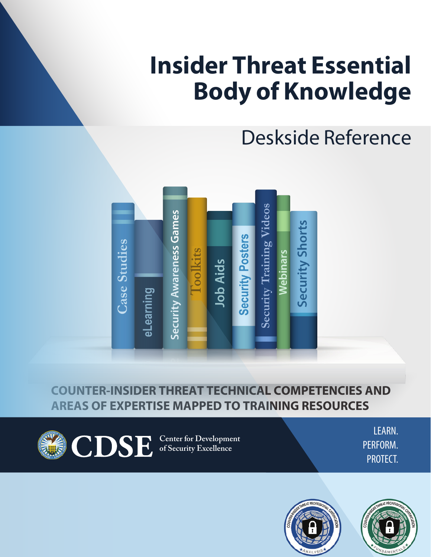# **Insider Threat Essential Body of Knowledge**

## Deskside Reference



## **COUNTER-INSIDER THREAT TECHNICAL COMPETENCIES AND AREAS OF EXPERTISE MAPPED TO TRAINING RESOURCES**

**Center for Development of Security Excellence**

LEARN. PERFORM. PROTECT.



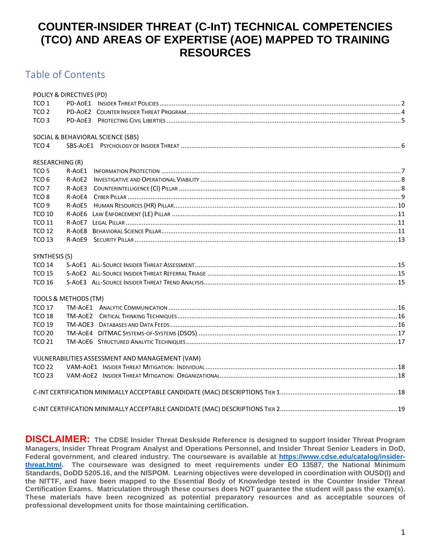## **COUNTER-INSIDER THREAT (C-InT) TECHNICAL COMPETENCIES (TCO) AND AREAS OF EXPERTISE (AOE) MAPPED TO TRAINING RESOURCES**

### Table of Contents

| POLICY & DIRECTIVES (PD)                        |  |
|-------------------------------------------------|--|
| TCO <sub>1</sub>                                |  |
| TCO <sub>2</sub>                                |  |
| TCO <sub>3</sub>                                |  |
|                                                 |  |
| SOCIAL & BEHAVIORAL SCIENCE (SBS)               |  |
| TCO <sub>4</sub>                                |  |
| RESEARCHING (R)                                 |  |
| TCO <sub>5</sub><br>R-AOE1                      |  |
| TCO <sub>6</sub><br>R-AOE2                      |  |
| TCO <sub>7</sub><br>R-AOE3                      |  |
| TCO <sub>8</sub><br>R-AOE4                      |  |
| TCO <sub>9</sub><br>R-AOE5                      |  |
| <b>TCO 10</b><br>R-AOE6                         |  |
| <b>TCO 11</b><br>$R- A0F7$                      |  |
| <b>TCO 12</b><br>R-AOE8                         |  |
| <b>TCO 13</b>                                   |  |
|                                                 |  |
| SYNTHESIS (S)                                   |  |
| <b>TCO 14</b>                                   |  |
| <b>TCO 15</b>                                   |  |
| <b>TCO 16</b>                                   |  |
| TOOLS & METHODS (TM)                            |  |
| <b>TCO 17</b>                                   |  |
| <b>TCO 18</b>                                   |  |
| <b>TCO 19</b>                                   |  |
| <b>TCO 20</b>                                   |  |
| <b>TCO 21</b>                                   |  |
|                                                 |  |
| VULNERABILITIES ASSESSMENT AND MANAGEMENT (VAM) |  |
| <b>TCO 22</b>                                   |  |
| <b>TCO 23</b>                                   |  |
|                                                 |  |
|                                                 |  |
|                                                 |  |

**DISCLAIMER: The CDSE Insider Threat Deskside Reference is designed to support Insider Threat Program Managers, Insider Threat Program Analyst and Operations Personnel, and Insider Threat Senior Leaders in DoD, Federal government, and cleared industry. The courseware is available at [https://www.cdse.edu/catalog/insider](https://www.cdse.edu/catalog/insider-threat.html)[threat.html.](https://www.cdse.edu/catalog/insider-threat.html) The courseware was designed to meet requirements under EO 13587, the National Minimum Standards, DoDD 5205.16, and the NISPOM. Learning objectives were developed in coordination with OUSD(I) and the NITTF, and have been mapped to the Essential Body of Knowledge tested in the Counter Insider Threat Certification Exams. Matriculation through these courses does NOT guarantee the student will pass the exam(s). These materials have been recognized as potential preparatory resources and as acceptable sources of professional development units for those maintaining certification.**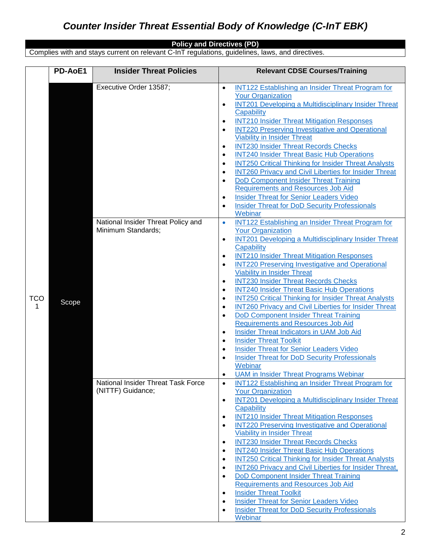#### **Policy and Directives (PD)**

Complies with and stays current on relevant C-InT regulations, guidelines, laws, and directives.

<span id="page-2-1"></span><span id="page-2-0"></span>

|                 | PD-AoE1 | <b>Insider Threat Policies</b>                          | <b>Relevant CDSE Courses/Training</b>                                                                                                                                                                                                                                                                                                                                                                                                                                                                                                                                                                                                                                                                                                                                                                                                                                                                                                                                                                                                                                            |
|-----------------|---------|---------------------------------------------------------|----------------------------------------------------------------------------------------------------------------------------------------------------------------------------------------------------------------------------------------------------------------------------------------------------------------------------------------------------------------------------------------------------------------------------------------------------------------------------------------------------------------------------------------------------------------------------------------------------------------------------------------------------------------------------------------------------------------------------------------------------------------------------------------------------------------------------------------------------------------------------------------------------------------------------------------------------------------------------------------------------------------------------------------------------------------------------------|
|                 |         |                                                         |                                                                                                                                                                                                                                                                                                                                                                                                                                                                                                                                                                                                                                                                                                                                                                                                                                                                                                                                                                                                                                                                                  |
|                 |         | Executive Order 13587;                                  | <b>INT122 Establishing an Insider Threat Program for</b><br>$\bullet$<br><b>Your Organization</b><br><b>INT201 Developing a Multidisciplinary Insider Threat</b><br>$\bullet$<br>Capability<br><b>INT210 Insider Threat Mitigation Responses</b><br>$\bullet$<br><b>INT220 Preserving Investigative and Operational</b><br>$\bullet$<br><b>Viability in Insider Threat</b><br><b>INT230 Insider Threat Records Checks</b><br>$\bullet$<br><b>INT240 Insider Threat Basic Hub Operations</b><br>$\bullet$<br><b>INT250 Critical Thinking for Insider Threat Analysts</b><br>$\bullet$<br><b>INT260 Privacy and Civil Liberties for Insider Threat</b><br>$\bullet$<br><b>DoD Component Insider Threat Training</b><br>$\bullet$<br><b>Requirements and Resources Job Aid</b><br><b>Insider Threat for Senior Leaders Video</b><br>$\bullet$<br><b>Insider Threat for DoD Security Professionals</b><br>$\bullet$<br>Webinar                                                                                                                                                       |
|                 |         | National Insider Threat Policy and                      |                                                                                                                                                                                                                                                                                                                                                                                                                                                                                                                                                                                                                                                                                                                                                                                                                                                                                                                                                                                                                                                                                  |
| <b>TCO</b><br>1 | Scope   | Minimum Standards;                                      | INT122 Establishing an Insider Threat Program for<br>$\bullet$<br><b>Your Organization</b><br><b>INT201 Developing a Multidisciplinary Insider Threat</b><br>$\bullet$<br>Capability<br><b>INT210 Insider Threat Mitigation Responses</b><br>$\bullet$<br><b>INT220 Preserving Investigative and Operational</b><br>$\bullet$<br><b>Viability in Insider Threat</b><br><b>INT230 Insider Threat Records Checks</b><br>$\bullet$<br><b>INT240 Insider Threat Basic Hub Operations</b><br>$\bullet$<br><b>INT250 Critical Thinking for Insider Threat Analysts</b><br>$\bullet$<br><b>INT260 Privacy and Civil Liberties for Insider Threat</b><br>$\bullet$<br><b>DoD Component Insider Threat Training</b><br>$\bullet$<br><b>Requirements and Resources Job Aid</b><br>Insider Threat Indicators in UAM Job Aid<br>$\bullet$<br><b>Insider Threat Toolkit</b><br>$\bullet$<br><b>Insider Threat for Senior Leaders Video</b><br>$\bullet$<br><b>Insider Threat for DoD Security Professionals</b><br>$\bullet$<br>Webinar<br><b>UAM</b> in Insider Threat Programs Webinar<br>٠ |
|                 |         | National Insider Threat Task Force<br>(NITTF) Guidance; | INT122 Establishing an Insider Threat Program for<br>$\bullet$<br><b>Your Organization</b><br><b>INT201 Developing a Multidisciplinary Insider Threat</b><br>$\bullet$<br>Capability<br><b>INT210 Insider Threat Mitigation Responses</b><br>$\bullet$<br><b>INT220 Preserving Investigative and Operational</b><br>$\bullet$<br><b>Viability in Insider Threat</b><br><b>INT230 Insider Threat Records Checks</b><br>$\bullet$<br><b>INT240 Insider Threat Basic Hub Operations</b><br>$\bullet$<br><b>INT250 Critical Thinking for Insider Threat Analysts</b><br>$\bullet$<br>INT260 Privacy and Civil Liberties for Insider Threat,<br>$\bullet$<br><b>DoD Component Insider Threat Training</b><br>$\bullet$<br><b>Requirements and Resources Job Aid</b><br><b>Insider Threat Toolkit</b><br>٠<br><b>Insider Threat for Senior Leaders Video</b><br>$\bullet$<br><b>Insider Threat for DoD Security Professionals</b><br>$\bullet$<br>Webinar                                                                                                                              |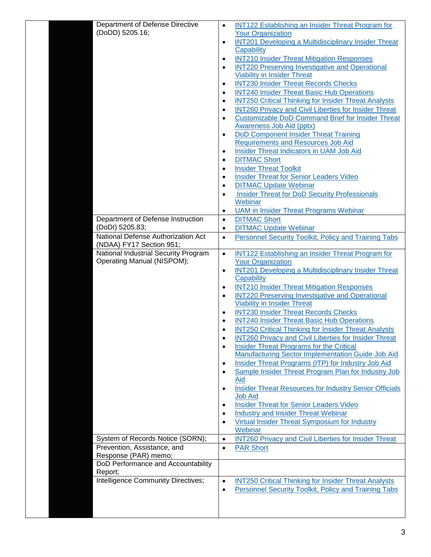| <b>INT122 Establishing an Insider Threat Program for</b><br>$\bullet$<br><b>Your Organization</b>                             |
|-------------------------------------------------------------------------------------------------------------------------------|
| <b>INT201 Developing a Multidisciplinary Insider Threat</b><br>$\bullet$                                                      |
| Capability                                                                                                                    |
| <b>INT210 Insider Threat Mitigation Responses</b><br>$\bullet$                                                                |
| <b>INT220 Preserving Investigative and Operational</b><br>$\bullet$                                                           |
| <b>Viability in Insider Threat</b>                                                                                            |
| <b>INT230 Insider Threat Records Checks</b><br>$\bullet$                                                                      |
| <b>INT240 Insider Threat Basic Hub Operations</b><br>$\bullet$<br><b>INT250 Critical Thinking for Insider Threat Analysts</b> |
| $\bullet$<br><b>INT260 Privacy and Civil Liberties for Insider Threat</b><br>$\bullet$                                        |
| <b>Customizable DoD Command Brief for Insider Threat</b><br>$\bullet$                                                         |
| Awareness Job Aid (pptx)                                                                                                      |
| <b>DoD Component Insider Threat Training</b><br>$\bullet$                                                                     |
| <b>Requirements and Resources Job Aid</b>                                                                                     |
| Insider Threat Indicators in UAM Job Aid<br>$\bullet$                                                                         |
| <b>DITMAC Short</b><br>$\bullet$                                                                                              |
| <b>Insider Threat Toolkit</b><br>$\bullet$                                                                                    |
| <b>Insider Threat for Senior Leaders Video</b><br>$\bullet$                                                                   |
| <b>DITMAC Update Webinar</b><br>$\bullet$                                                                                     |
| <b>Insider Threat for DoD Security Professionals</b><br>$\bullet$<br>Webinar                                                  |
| <b>UAM</b> in Insider Threat Programs Webinar<br>$\bullet$                                                                    |
| <b>DITMAC Short</b><br>$\bullet$                                                                                              |
| <b>DITMAC Update Webinar</b><br>$\bullet$                                                                                     |
| <b>Personnel Security Toolkit, Policy and Training Tabs</b><br>$\bullet$                                                      |
|                                                                                                                               |
| INT122 Establishing an Insider Threat Program for<br>$\bullet$                                                                |
| <b>Your Organization</b>                                                                                                      |
| <b>INT201 Developing a Multidisciplinary Insider Threat</b><br>$\bullet$                                                      |
| Capability                                                                                                                    |
| <b>INT210 Insider Threat Mitigation Responses</b><br>$\bullet$                                                                |
| <b>INT220 Preserving Investigative and Operational</b><br>$\bullet$<br><b>Viability in Insider Threat</b>                     |
| <b>INT230 Insider Threat Records Checks</b><br>$\bullet$                                                                      |
| <b>INT240 Insider Threat Basic Hub Operations</b><br>$\bullet$                                                                |
| <b>INT250 Critical Thinking for Insider Threat Analysts</b>                                                                   |
| <b>INT260 Privacy and Civil Liberties for Insider Threat</b>                                                                  |
| <b>Insider Threat Programs for the Critical</b><br>$\bullet$                                                                  |
| <b>Manufacturing Sector Implementation Guide Job Aid</b>                                                                      |
| <b>Insider Threat Programs (ITP) for Industry Job Aid</b><br>$\bullet$                                                        |
| Sample Insider Threat Program Plan for Industry Job<br>$\bullet$                                                              |
| Aid                                                                                                                           |
| <b>Insider Threat Resources for Industry Senior Officials</b><br>$\bullet$<br><b>Job Aid</b>                                  |
| <b>Insider Threat for Senior Leaders Video</b><br>$\bullet$                                                                   |
| <b>Industry and Insider Threat Webinar</b><br>$\bullet$                                                                       |
| Virtual Insider Threat Symposium for Industry<br>$\bullet$                                                                    |
| Webinar                                                                                                                       |
| <b>INT260 Privacy and Civil Liberties for Insider Threat</b><br>$\bullet$                                                     |
| <b>PAR Short</b><br>$\bullet$                                                                                                 |
|                                                                                                                               |
|                                                                                                                               |
| <b>INT250 Critical Thinking for Insider Threat Analysts</b><br>$\bullet$                                                      |
| Personnel Security Toolkit, Policy and Training Tabs<br>$\bullet$                                                             |
|                                                                                                                               |
|                                                                                                                               |
|                                                                                                                               |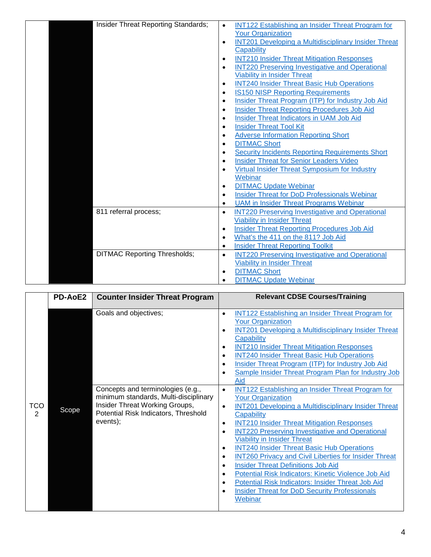| Insider Threat Reporting Standards; | <b>INT122 Establishing an Insider Threat Program for</b><br>$\bullet$<br><b>Your Organization</b>     |
|-------------------------------------|-------------------------------------------------------------------------------------------------------|
|                                     | <b>INT201 Developing a Multidisciplinary Insider Threat</b><br>$\bullet$<br>Capability                |
|                                     | <b>INT210 Insider Threat Mitigation Responses</b><br>$\bullet$                                        |
|                                     | <b>INT220 Preserving Investigative and Operational</b><br>$\bullet$                                   |
|                                     | <b>Viability in Insider Threat</b>                                                                    |
|                                     | <b>INT240 Insider Threat Basic Hub Operations</b><br>$\bullet$                                        |
|                                     | <b>IS150 NISP Reporting Requirements</b><br>$\bullet$                                                 |
|                                     | Insider Threat Program (ITP) for Industry Job Aid<br>$\bullet$                                        |
|                                     | <b>Insider Threat Reporting Procedures Job Aid</b><br>$\bullet$                                       |
|                                     | Insider Threat Indicators in UAM Job Aid<br>$\bullet$                                                 |
|                                     | <b>Insider Threat Tool Kit</b><br>$\bullet$                                                           |
|                                     | <b>Adverse Information Reporting Short</b><br>$\bullet$                                               |
|                                     | <b>DITMAC Short</b><br>$\bullet$                                                                      |
|                                     | <b>Security Incidents Reporting Requirements Short</b><br>$\bullet$                                   |
|                                     | <b>Insider Threat for Senior Leaders Video</b><br>$\bullet$                                           |
|                                     | Virtual Insider Threat Symposium for Industry<br>$\bullet$                                            |
|                                     | Webinar                                                                                               |
|                                     | <b>DITMAC Update Webinar</b><br>$\bullet$                                                             |
|                                     | <b>Insider Threat for DoD Professionals Webinar</b><br>$\bullet$                                      |
|                                     | <b>UAM</b> in Insider Threat Programs Webinar<br>$\bullet$                                            |
| 811 referral process;               | <b>INT220 Preserving Investigative and Operational</b><br>$\bullet$                                   |
|                                     | <b>Viability in Insider Threat</b><br><b>Insider Threat Reporting Procedures Job Aid</b><br>$\bullet$ |
|                                     | What's the 411 on the 811? Job Aid<br>$\bullet$                                                       |
|                                     | <b>Insider Threat Reporting Toolkit</b><br>$\bullet$                                                  |
| <b>DITMAC Reporting Thresholds;</b> | <b>INT220 Preserving Investigative and Operational</b><br>$\bullet$                                   |
|                                     | <b>Viability in Insider Threat</b>                                                                    |
|                                     | <b>DITMAC Short</b><br>$\bullet$                                                                      |
|                                     | <b>DITMAC Update Webinar</b><br>$\bullet$                                                             |
|                                     |                                                                                                       |

<span id="page-4-0"></span>

| Goals and objectives;<br>$\bullet$<br><b>Your Organization</b><br>$\bullet$<br>Capability<br><b>INT210 Insider Threat Mitigation Responses</b><br>$\bullet$<br><b>INT240 Insider Threat Basic Hub Operations</b><br>$\bullet$<br>Insider Threat Program (ITP) for Industry Job Aid<br>$\bullet$                                                                                                                                                                                                                                                                                                                                                                                                                                                                                                                            | <b>PD-AoE2</b> | <b>Counter Insider Threat Program</b> | <b>Relevant CDSE Courses/Training</b>                                                                                                                                                                                                                                                                                                                                          |
|----------------------------------------------------------------------------------------------------------------------------------------------------------------------------------------------------------------------------------------------------------------------------------------------------------------------------------------------------------------------------------------------------------------------------------------------------------------------------------------------------------------------------------------------------------------------------------------------------------------------------------------------------------------------------------------------------------------------------------------------------------------------------------------------------------------------------|----------------|---------------------------------------|--------------------------------------------------------------------------------------------------------------------------------------------------------------------------------------------------------------------------------------------------------------------------------------------------------------------------------------------------------------------------------|
| Aid<br>Concepts and terminologies (e.g.,<br>$\bullet$<br>minimum standards, Multi-disciplinary<br><b>Your Organization</b><br>Insider Threat Working Groups,<br><b>TCO</b><br>$\bullet$<br>Scope<br>Potential Risk Indicators, Threshold<br>$\overline{2}$<br>Capability<br>events);<br><b>INT210 Insider Threat Mitigation Responses</b><br>$\bullet$<br><b>INT220 Preserving Investigative and Operational</b><br>$\bullet$<br><b>Viability in Insider Threat</b><br><b>INT240 Insider Threat Basic Hub Operations</b><br>$\bullet$<br>$\bullet$<br><b>Insider Threat Definitions Job Aid</b><br>$\bullet$<br>Potential Risk Indicators: Kinetic Violence Job Aid<br>$\bullet$<br>Potential Risk Indicators: Insider Threat Job Aid<br>٠<br><b>Insider Threat for DoD Security Professionals</b><br>$\bullet$<br>Webinar |                |                                       | <b>INT122 Establishing an Insider Threat Program for</b><br><b>INT201 Developing a Multidisciplinary Insider Threat</b><br>Sample Insider Threat Program Plan for Industry Job<br>٠<br><b>INT122 Establishing an Insider Threat Program for</b><br><b>INT201 Developing a Multidisciplinary Insider Threat</b><br><b>INT260 Privacy and Civil Liberties for Insider Threat</b> |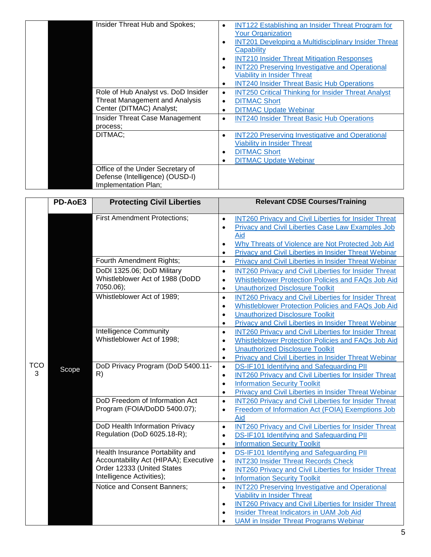| Insider Threat Hub and Spokes;                                                              | <b>INT122 Establishing an Insider Threat Program for</b><br>$\bullet$<br><b>Your Organization</b><br><b>INT201 Developing a Multidisciplinary Insider Threat</b><br>٠<br>Capability<br><b>INT210 Insider Threat Mitigation Responses</b><br>٠<br><b>INT220 Preserving Investigative and Operational</b><br>$\bullet$<br><b>Viability in Insider Threat</b><br><b>INT240 Insider Threat Basic Hub Operations</b><br>$\bullet$ |
|---------------------------------------------------------------------------------------------|------------------------------------------------------------------------------------------------------------------------------------------------------------------------------------------------------------------------------------------------------------------------------------------------------------------------------------------------------------------------------------------------------------------------------|
| Role of Hub Analyst vs. DoD Insider                                                         | <b>INT250 Critical Thinking for Insider Threat Analyst</b><br>$\bullet$                                                                                                                                                                                                                                                                                                                                                      |
| <b>Threat Management and Analysis</b><br>Center (DITMAC) Analyst;                           | <b>DITMAC Short</b><br>$\bullet$<br><b>DITMAC Update Webinar</b><br>$\bullet$                                                                                                                                                                                                                                                                                                                                                |
|                                                                                             |                                                                                                                                                                                                                                                                                                                                                                                                                              |
| Insider Threat Case Management<br>process:                                                  | <b>INT240 Insider Threat Basic Hub Operations</b><br>$\bullet$                                                                                                                                                                                                                                                                                                                                                               |
| DITMAC:                                                                                     | <b>INT220 Preserving Investigative and Operational</b><br>$\bullet$                                                                                                                                                                                                                                                                                                                                                          |
|                                                                                             | <b>Viability in Insider Threat</b>                                                                                                                                                                                                                                                                                                                                                                                           |
|                                                                                             | <b>DITMAC Short</b><br>$\bullet$                                                                                                                                                                                                                                                                                                                                                                                             |
|                                                                                             | <b>DITMAC Update Webinar</b><br>٠                                                                                                                                                                                                                                                                                                                                                                                            |
| Office of the Under Secretary of<br>Defense (Intelligence) (OUSD-I)<br>Implementation Plan; |                                                                                                                                                                                                                                                                                                                                                                                                                              |

<span id="page-5-0"></span>

|                 | PD-AoE3 | <b>Protecting Civil Liberties</b>                                                                                                    | <b>Relevant CDSE Courses/Training</b>                                                                                                                                                                                                                                                                         |
|-----------------|---------|--------------------------------------------------------------------------------------------------------------------------------------|---------------------------------------------------------------------------------------------------------------------------------------------------------------------------------------------------------------------------------------------------------------------------------------------------------------|
| <b>TCO</b><br>3 |         | <b>First Amendment Protections;</b>                                                                                                  | <b>INT260 Privacy and Civil Liberties for Insider Threat</b><br>$\bullet$<br>Privacy and Civil Liberties Case Law Examples Job<br>$\bullet$<br>Aid<br>Why Threats of Violence are Not Protected Job Aid<br>$\bullet$<br>Privacy and Civil Liberties in Insider Threat Webinar<br>$\bullet$                    |
|                 |         | Fourth Amendment Rights;                                                                                                             | $\bullet$<br>Privacy and Civil Liberties in Insider Threat Webinar                                                                                                                                                                                                                                            |
|                 | Scope   | DoDI 1325.06; DoD Military<br>Whistleblower Act of 1988 (DoDD<br>7050.06);                                                           | <b>INT260 Privacy and Civil Liberties for Insider Threat</b><br>$\bullet$<br>Whistleblower Protection Policies and FAQs Job Aid<br>$\bullet$<br><b>Unauthorized Disclosure Toolkit</b><br>$\bullet$                                                                                                           |
|                 |         | Whistleblower Act of 1989;                                                                                                           | <b>INT260 Privacy and Civil Liberties for Insider Threat</b><br>$\bullet$<br>Whistleblower Protection Policies and FAQs Job Aid<br>$\bullet$<br><b>Unauthorized Disclosure Toolkit</b><br>$\bullet$<br><b>Privacy and Civil Liberties in Insider Threat Webinar</b><br>$\bullet$                              |
|                 |         | <b>Intelligence Community</b><br>Whistleblower Act of 1998;                                                                          | <b>INT260 Privacy and Civil Liberties for Insider Threat</b><br>$\bullet$<br>Whistleblower Protection Policies and FAQs Job Aid<br>$\bullet$<br><b>Unauthorized Disclosure Toolkit</b><br>$\bullet$<br>Privacy and Civil Liberties in Insider Threat Webinar<br>$\bullet$                                     |
|                 |         | DoD Privacy Program (DoD 5400.11-<br>R)                                                                                              | DS-IF101 Identifying and Safeguarding PII<br>$\bullet$<br><b>INT260 Privacy and Civil Liberties for Insider Threat</b><br>$\bullet$<br><b>Information Security Toolkit</b><br>$\bullet$<br>Privacy and Civil Liberties in Insider Threat Webinar<br>$\bullet$                                                 |
|                 |         | DoD Freedom of Information Act<br>Program (FOIA/DoDD 5400.07);                                                                       | <b>INT260 Privacy and Civil Liberties for Insider Threat</b><br>$\bullet$<br>Freedom of Information Act (FOIA) Exemptions Job<br>$\bullet$<br>Aid                                                                                                                                                             |
|                 |         | DoD Health Information Privacy<br>Regulation (DoD 6025.18-R);                                                                        | <b>INT260 Privacy and Civil Liberties for Insider Threat</b><br>$\bullet$<br>DS-IF101 Identifying and Safeguarding PII<br>$\bullet$<br><b>Information Security Toolkit</b><br>$\bullet$                                                                                                                       |
|                 |         | Health Insurance Portability and<br>Accountability Act (HIPAA); Executive<br>Order 12333 (United States<br>Intelligence Activities); | <b>DS-IF101 Identifying and Safeguarding PII</b><br>$\bullet$<br><b>INT230 Insider Threat Records Check</b><br>$\bullet$<br><b>INT260 Privacy and Civil Liberties for Insider Threat</b><br>$\bullet$<br><b>Information Security Toolkit</b><br>$\bullet$                                                     |
|                 |         | Notice and Consent Banners;                                                                                                          | <b>INT220 Preserving Investigative and Operational</b><br>$\bullet$<br><b>Viability in Insider Threat</b><br><b>INT260 Privacy and Civil Liberties for Insider Threat</b><br>$\bullet$<br>Insider Threat Indicators in UAM Job Aid<br>$\bullet$<br><b>UAM</b> in Insider Threat Programs Webinar<br>$\bullet$ |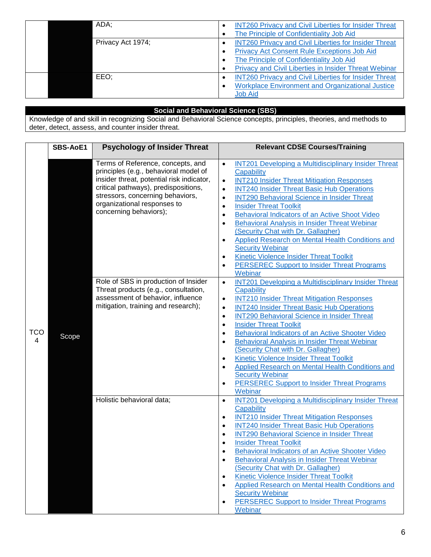| ADA;              | <b>INT260 Privacy and Civil Liberties for Insider Threat</b><br>The Principle of Confidentiality Job Aid                                                                                                                |
|-------------------|-------------------------------------------------------------------------------------------------------------------------------------------------------------------------------------------------------------------------|
| Privacy Act 1974; | <b>INT260 Privacy and Civil Liberties for Insider Threat</b><br><b>Privacy Act Consent Rule Exceptions Job Aid</b><br>The Principle of Confidentiality Job Aid<br>Privacy and Civil Liberties in Insider Threat Webinar |
| EEO:              | <b>INT260 Privacy and Civil Liberties for Insider Threat</b><br><b>Workplace Environment and Organizational Justice</b><br><b>Job Aid</b>                                                                               |

#### **Social and Behavioral Science (SBS)**

Knowledge of and skill in recognizing Social and Behavioral Science concepts, principles, theories, and methods to deter, detect, assess, and counter insider threat.

<span id="page-6-1"></span><span id="page-6-0"></span>

|                 | <b>SBS-AoE1</b> | <b>Psychology of Insider Threat</b>                                                                                                                                                                                                                          | <b>Relevant CDSE Courses/Training</b>                                                                                                                                                                                                                                                                                                                                                                                                                                                                                                                                                                                                                                                                                                                                       |
|-----------------|-----------------|--------------------------------------------------------------------------------------------------------------------------------------------------------------------------------------------------------------------------------------------------------------|-----------------------------------------------------------------------------------------------------------------------------------------------------------------------------------------------------------------------------------------------------------------------------------------------------------------------------------------------------------------------------------------------------------------------------------------------------------------------------------------------------------------------------------------------------------------------------------------------------------------------------------------------------------------------------------------------------------------------------------------------------------------------------|
|                 |                 |                                                                                                                                                                                                                                                              |                                                                                                                                                                                                                                                                                                                                                                                                                                                                                                                                                                                                                                                                                                                                                                             |
| <b>TCO</b><br>4 |                 | Terms of Reference, concepts, and<br>principles (e.g., behavioral model of<br>insider threat, potential risk indicator,<br>critical pathways), predispositions,<br>stressors, concerning behaviors,<br>organizational responses to<br>concerning behaviors); | <b>INT201 Developing a Multidisciplinary Insider Threat</b><br>$\bullet$<br>Capability<br><b>INT210 Insider Threat Mitigation Responses</b><br>$\bullet$<br><b>INT240 Insider Threat Basic Hub Operations</b><br>$\bullet$<br><b>INT290 Behavioral Science in Insider Threat</b><br>$\bullet$<br><b>Insider Threat Toolkit</b><br>$\bullet$<br>Behavioral Indicators of an Active Shoot Video<br>$\bullet$<br>Behavioral Analysis in Insider Threat Webinar<br>$\bullet$<br>(Security Chat with Dr. Gallagher)<br>Applied Research on Mental Health Conditions and<br>$\bullet$<br><b>Security Webinar</b><br>Kinetic Violence Insider Threat Toolkit<br>$\bullet$<br><b>PERSEREC Support to Insider Threat Programs</b><br>$\bullet$                                       |
|                 | Scope           | Role of SBS in production of Insider<br>Threat products (e.g., consultation,<br>assessment of behavior, influence<br>mitigation, training and research);                                                                                                     | Webinar<br><b>INT201 Developing a Multidisciplinary Insider Threat</b><br>$\bullet$<br>Capability<br><b>INT210 Insider Threat Mitigation Responses</b><br>$\bullet$<br><b>INT240 Insider Threat Basic Hub Operations</b><br>$\bullet$<br><b>INT290 Behavioral Science in Insider Threat</b><br>$\bullet$<br><b>Insider Threat Toolkit</b><br>$\bullet$<br>Behavioral Indicators of an Active Shooter Video<br>$\bullet$<br>Behavioral Analysis in Insider Threat Webinar<br>$\bullet$<br>(Security Chat with Dr. Gallagher)<br><b>Kinetic Violence Insider Threat Toolkit</b><br>$\bullet$<br><b>Applied Research on Mental Health Conditions and</b><br>$\bullet$<br><b>Security Webinar</b><br><b>PERSEREC Support to Insider Threat Programs</b><br>$\bullet$<br>Webinar |
|                 |                 | Holistic behavioral data;                                                                                                                                                                                                                                    | <b>INT201 Developing a Multidisciplinary Insider Threat</b><br>$\bullet$<br>Capability<br><b>INT210 Insider Threat Mitigation Responses</b><br>$\bullet$<br><b>INT240 Insider Threat Basic Hub Operations</b><br>$\bullet$<br><b>INT290 Behavioral Science in Insider Threat</b><br>$\bullet$<br><b>Insider Threat Toolkit</b><br>$\bullet$<br>Behavioral Indicators of an Active Shooter Video<br><b>Behavioral Analysis in Insider Threat Webinar</b><br>$\bullet$<br>(Security Chat with Dr. Gallagher)<br>Kinetic Violence Insider Threat Toolkit<br>$\bullet$<br>Applied Research on Mental Health Conditions and<br>$\bullet$<br><b>Security Webinar</b><br><b>PERSEREC Support to Insider Threat Programs</b><br>Webinar                                             |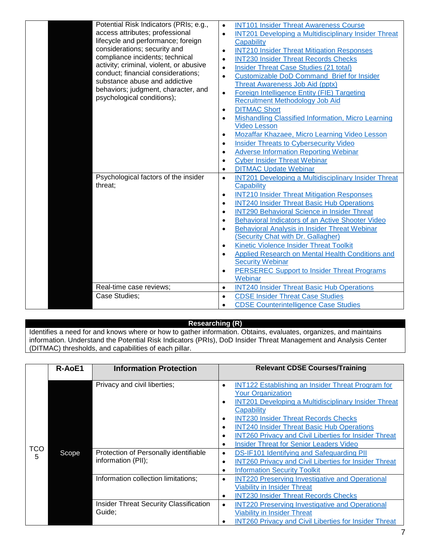| Potential Risk Indicators (PRIs; e.g.,<br>access attributes; professional<br>lifecycle and performance; foreign<br>considerations; security and<br>compliance incidents; technical<br>activity; criminal, violent, or abusive<br>conduct; financial considerations;<br>substance abuse and addictive<br>behaviors; judgment, character, and<br>psychological conditions); | <b>INT101 Insider Threat Awareness Course</b><br>$\bullet$<br><b>INT201 Developing a Multidisciplinary Insider Threat</b><br>$\bullet$<br>Capability<br><b>INT210 Insider Threat Mitigation Responses</b><br>$\bullet$<br><b>INT230 Insider Threat Records Checks</b><br>$\bullet$<br>Insider Threat Case Studies (21 total)<br>$\bullet$<br><b>Customizable DoD Command Brief for Insider</b><br>$\bullet$<br>Threat Awareness Job Aid (pptx)<br>Foreign Intelligence Entity (FIE) Targeting<br>$\bullet$<br><b>Recruitment Methodology Job Aid</b><br><b>DITMAC Short</b><br>$\bullet$<br><b>Mishandling Classified Information, Micro Learning</b><br>$\bullet$<br><b>Video Lesson</b><br>Mozaffar Khazaee, Micro Learning Video Lesson<br>$\bullet$<br><b>Insider Threats to Cybersecurity Video</b><br>$\bullet$<br><b>Adverse Information Reporting Webinar</b><br>$\bullet$<br><b>Cyber Insider Threat Webinar</b><br>$\bullet$<br><b>DITMAC Update Webinar</b><br>$\bullet$ |
|---------------------------------------------------------------------------------------------------------------------------------------------------------------------------------------------------------------------------------------------------------------------------------------------------------------------------------------------------------------------------|-------------------------------------------------------------------------------------------------------------------------------------------------------------------------------------------------------------------------------------------------------------------------------------------------------------------------------------------------------------------------------------------------------------------------------------------------------------------------------------------------------------------------------------------------------------------------------------------------------------------------------------------------------------------------------------------------------------------------------------------------------------------------------------------------------------------------------------------------------------------------------------------------------------------------------------------------------------------------------------|
| Psychological factors of the insider<br>threat:                                                                                                                                                                                                                                                                                                                           | <b>INT201 Developing a Multidisciplinary Insider Threat</b><br>$\bullet$<br>Capability                                                                                                                                                                                                                                                                                                                                                                                                                                                                                                                                                                                                                                                                                                                                                                                                                                                                                              |
|                                                                                                                                                                                                                                                                                                                                                                           | <b>INT210 Insider Threat Mitigation Responses</b><br>$\bullet$<br><b>INT240 Insider Threat Basic Hub Operations</b><br>$\bullet$                                                                                                                                                                                                                                                                                                                                                                                                                                                                                                                                                                                                                                                                                                                                                                                                                                                    |
|                                                                                                                                                                                                                                                                                                                                                                           | <b>INT290 Behavioral Science in Insider Threat</b><br>$\bullet$                                                                                                                                                                                                                                                                                                                                                                                                                                                                                                                                                                                                                                                                                                                                                                                                                                                                                                                     |
|                                                                                                                                                                                                                                                                                                                                                                           | Behavioral Indicators of an Active Shooter Video<br>$\bullet$<br><b>Behavioral Analysis in Insider Threat Webinar</b><br>٠                                                                                                                                                                                                                                                                                                                                                                                                                                                                                                                                                                                                                                                                                                                                                                                                                                                          |
|                                                                                                                                                                                                                                                                                                                                                                           | (Security Chat with Dr. Gallagher)                                                                                                                                                                                                                                                                                                                                                                                                                                                                                                                                                                                                                                                                                                                                                                                                                                                                                                                                                  |
|                                                                                                                                                                                                                                                                                                                                                                           | Kinetic Violence Insider Threat Toolkit<br>$\bullet$                                                                                                                                                                                                                                                                                                                                                                                                                                                                                                                                                                                                                                                                                                                                                                                                                                                                                                                                |
|                                                                                                                                                                                                                                                                                                                                                                           | <b>Applied Research on Mental Health Conditions and</b><br>$\bullet$<br><b>Security Webinar</b>                                                                                                                                                                                                                                                                                                                                                                                                                                                                                                                                                                                                                                                                                                                                                                                                                                                                                     |
|                                                                                                                                                                                                                                                                                                                                                                           | PERSEREC Support to Insider Threat Programs<br>$\bullet$<br>Webinar                                                                                                                                                                                                                                                                                                                                                                                                                                                                                                                                                                                                                                                                                                                                                                                                                                                                                                                 |
| Real-time case reviews;                                                                                                                                                                                                                                                                                                                                                   | <b>INT240 Insider Threat Basic Hub Operations</b><br>$\bullet$                                                                                                                                                                                                                                                                                                                                                                                                                                                                                                                                                                                                                                                                                                                                                                                                                                                                                                                      |
| Case Studies:                                                                                                                                                                                                                                                                                                                                                             | <b>CDSE Insider Threat Case Studies</b><br>$\bullet$<br><b>CDSE Counterintelligence Case Studies</b><br>$\bullet$                                                                                                                                                                                                                                                                                                                                                                                                                                                                                                                                                                                                                                                                                                                                                                                                                                                                   |

#### **Researching (R)**

<span id="page-7-1"></span>Identifies a need for and knows where or how to gather information. Obtains, evaluates, organizes, and maintains information. Understand the Potential Risk Indicators (PRIs), DoD Insider Threat Management and Analysis Center (DITMAC) thresholds, and capabilities of each pillar.

<span id="page-7-0"></span>

|          | R-AoE1 | <b>Information Protection</b>                               | <b>Relevant CDSE Courses/Training</b>                                                                                                                                                                                                                                                                                                                                                                                                                         |
|----------|--------|-------------------------------------------------------------|---------------------------------------------------------------------------------------------------------------------------------------------------------------------------------------------------------------------------------------------------------------------------------------------------------------------------------------------------------------------------------------------------------------------------------------------------------------|
|          |        |                                                             |                                                                                                                                                                                                                                                                                                                                                                                                                                                               |
|          |        | Privacy and civil liberties;                                | <b>INT122 Establishing an Insider Threat Program for</b><br>$\bullet$<br><b>Your Organization</b><br><b>INT201 Developing a Multidisciplinary Insider Threat</b><br>$\bullet$<br>Capability<br><b>INT230 Insider Threat Records Checks</b><br>$\bullet$<br><b>INT240 Insider Threat Basic Hub Operations</b><br>$\bullet$<br><b>INT260 Privacy and Civil Liberties for Insider Threat</b><br>٠<br><b>Insider Threat for Senior Leaders Video</b><br>$\bullet$ |
| TCO<br>5 | Scope  | Protection of Personally identifiable<br>information (PII); | DS-IF101 Identifying and Safeguarding PII<br>$\bullet$<br><b>INT260 Privacy and Civil Liberties for Insider Threat</b><br>$\bullet$<br><b>Information Security Toolkit</b><br>$\bullet$                                                                                                                                                                                                                                                                       |
|          |        | Information collection limitations;                         | <b>INT220 Preserving Investigative and Operational</b><br>$\bullet$<br><b>Viability in Insider Threat</b><br><b>INT230 Insider Threat Records Checks</b><br>٠                                                                                                                                                                                                                                                                                                 |
|          |        | <b>Insider Threat Security Classification</b><br>Guide;     | <b>INT220 Preserving Investigative and Operational</b><br>$\bullet$<br><b>Viability in Insider Threat</b><br><b>INT260 Privacy and Civil Liberties for Insider Threat</b>                                                                                                                                                                                                                                                                                     |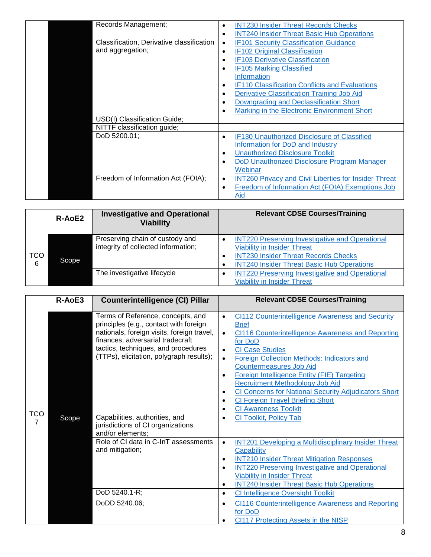| Records Management;                                           | <b>INT230 Insider Threat Records Checks</b><br><b>INT240 Insider Threat Basic Hub Operations</b><br>$\bullet$                                                                                                                                                                                                                                                                                                                                                                           |
|---------------------------------------------------------------|-----------------------------------------------------------------------------------------------------------------------------------------------------------------------------------------------------------------------------------------------------------------------------------------------------------------------------------------------------------------------------------------------------------------------------------------------------------------------------------------|
| Classification, Derivative classification<br>and aggregation; | <b>IF101 Security Classification Guidance</b><br>$\bullet$<br><b>IF102 Original Classification</b><br>$\bullet$<br><b>IF103 Derivative Classification</b><br>٠<br><b>IF105 Marking Classified</b><br>$\bullet$<br><b>Information</b><br><b>IF110 Classification Conflicts and Evaluations</b><br>$\bullet$<br><b>Derivative Classification Training Job Aid</b><br>$\bullet$<br>Downgrading and Declassification Short<br>٠<br>Marking in the Electronic Environment Short<br>$\bullet$ |
| USD(I) Classification Guide;                                  |                                                                                                                                                                                                                                                                                                                                                                                                                                                                                         |
| NITTF classification guide;                                   |                                                                                                                                                                                                                                                                                                                                                                                                                                                                                         |
| DoD 5200.01;                                                  | IF130 Unauthorized Disclosure of Classified<br>$\bullet$<br>Information for DoD and Industry<br><b>Unauthorized Disclosure Toolkit</b><br>٠<br>DoD Unauthorized Disclosure Program Manager<br>$\bullet$<br>Webinar                                                                                                                                                                                                                                                                      |
| Freedom of Information Act (FOIA);                            | <b>INT260 Privacy and Civil Liberties for Insider Threat</b><br>$\bullet$<br>Freedom of Information Act (FOIA) Exemptions Job<br>$\bullet$<br>Aid                                                                                                                                                                                                                                                                                                                                       |

<span id="page-8-0"></span>

|                 | R-AoE2 | <b>Investigative and Operational</b><br><b>Viability</b>               | <b>Relevant CDSE Courses/Training</b>                                                                                                                                                                              |
|-----------------|--------|------------------------------------------------------------------------|--------------------------------------------------------------------------------------------------------------------------------------------------------------------------------------------------------------------|
| <b>TCO</b><br>6 | Scope  | Preserving chain of custody and<br>integrity of collected information; | <b>INT220 Preserving Investigative and Operational</b><br>٠<br><b>Viability in Insider Threat</b><br><b>INT230 Insider Threat Records Checks</b><br>$\bullet$<br><b>INT240 Insider Threat Basic Hub Operations</b> |
|                 |        | The investigative lifecycle                                            | <b>INT220 Preserving Investigative and Operational</b><br><b>Viability in Insider Threat</b>                                                                                                                       |

<span id="page-8-1"></span>

|     | R-AoE3 | <b>Counterintelligence (CI) Pillar</b>                                                                                                                                                                                                           | <b>Relevant CDSE Courses/Training</b>                                                                                                                                                                                                                                                                                                                                                                                                                                                                                                                                                      |
|-----|--------|--------------------------------------------------------------------------------------------------------------------------------------------------------------------------------------------------------------------------------------------------|--------------------------------------------------------------------------------------------------------------------------------------------------------------------------------------------------------------------------------------------------------------------------------------------------------------------------------------------------------------------------------------------------------------------------------------------------------------------------------------------------------------------------------------------------------------------------------------------|
| TCO |        | Terms of Reference, concepts, and<br>principles (e.g., contact with foreign<br>nationals, foreign visits, foreign travel,<br>finances, adversarial tradecraft<br>tactics, techniques, and procedures<br>(TTPs), elicitation, polygraph results); | <b>CI112 Counterintelligence Awareness and Security</b><br>$\bullet$<br><b>Brief</b><br><b>CI116 Counterintelligence Awareness and Reporting</b><br>$\bullet$<br>for DoD<br><b>CI Case Studies</b><br>$\bullet$<br><b>Foreign Collection Methods: Indicators and</b><br>$\bullet$<br><b>Countermeasures Job Aid</b><br>Foreign Intelligence Entity (FIE) Targeting<br>$\bullet$<br><b>Recruitment Methodology Job Aid</b><br>CI Concerns for National Security Adjudicators Short<br>٠<br><b>CI Foreign Travel Briefing Short</b><br>$\bullet$<br><b>CI Awareness Toolkit</b><br>$\bullet$ |
| 7   | Scope  | Capabilities, authorities, and<br>jurisdictions of CI organizations<br>and/or elements;                                                                                                                                                          | <b>CI Toolkit, Policy Tab</b><br>٠                                                                                                                                                                                                                                                                                                                                                                                                                                                                                                                                                         |
|     |        | Role of CI data in C-InT assessments<br>and mitigation;                                                                                                                                                                                          | <b>INT201 Developing a Multidisciplinary Insider Threat</b><br>$\bullet$<br>Capability<br><b>INT210 Insider Threat Mitigation Responses</b><br>$\bullet$<br><b>INT220 Preserving Investigative and Operational</b><br>$\bullet$<br><b>Viability in Insider Threat</b><br><b>INT240 Insider Threat Basic Hub Operations</b><br>$\bullet$                                                                                                                                                                                                                                                    |
|     |        | DoD 5240.1-R;                                                                                                                                                                                                                                    | <b>CI Intelligence Oversight Toolkit</b><br>$\bullet$                                                                                                                                                                                                                                                                                                                                                                                                                                                                                                                                      |
|     |        | DoDD 5240.06;                                                                                                                                                                                                                                    | <b>CI116 Counterintelligence Awareness and Reporting</b><br>$\bullet$<br>for DoD<br><b>CI117 Protecting Assets in the NISP</b><br>$\bullet$                                                                                                                                                                                                                                                                                                                                                                                                                                                |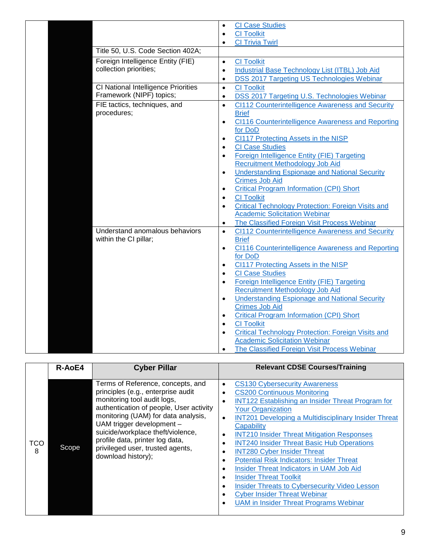|                                                                 | <b>CI Case Studies</b><br>$\bullet$<br><b>CI Toolkit</b><br>$\bullet$                                          |
|-----------------------------------------------------------------|----------------------------------------------------------------------------------------------------------------|
| Title 50, U.S. Code Section 402A;                               | <b>CI Trivia Twirl</b><br>$\bullet$                                                                            |
| Foreign Intelligence Entity (FIE)<br>collection priorities;     | <b>CI Toolkit</b><br>$\bullet$<br>Industrial Base Technology List (ITBL) Job Aid<br>$\bullet$                  |
|                                                                 | DSS 2017 Targeting US Technologies Webinar<br>$\bullet$                                                        |
| CI National Intelligence Priorities<br>Framework (NIPF) topics; | <b>CI Toolkit</b><br>$\bullet$<br><b>DSS 2017 Targeting U.S. Technologies Webinar</b><br>$\bullet$             |
| FIE tactics, techniques, and<br>procedures;                     | CI112 Counterintelligence Awareness and Security<br>$\bullet$<br><b>Brief</b>                                  |
|                                                                 | CI116 Counterintelligence Awareness and Reporting<br>$\bullet$<br>for DoD                                      |
|                                                                 | <b>CI117 Protecting Assets in the NISP</b><br>$\bullet$<br><b>CI Case Studies</b><br>$\bullet$                 |
|                                                                 | Foreign Intelligence Entity (FIE) Targeting<br>$\bullet$<br>Recruitment Methodology Job Aid                    |
|                                                                 | <b>Understanding Espionage and National Security</b><br>$\bullet$<br><b>Crimes Job Aid</b>                     |
|                                                                 | <b>Critical Program Information (CPI) Short</b><br>$\bullet$<br><b>CI Toolkit</b><br>$\bullet$                 |
|                                                                 | <b>Critical Technology Protection: Foreign Visits and</b><br>$\bullet$                                         |
|                                                                 | <b>Academic Solicitation Webinar</b>                                                                           |
|                                                                 | The Classified Foreign Visit Process Webinar<br>$\bullet$                                                      |
| Understand anomalous behaviors<br>within the CI pillar;         | CI112 Counterintelligence Awareness and Security<br>$\bullet$<br><b>Brief</b>                                  |
|                                                                 | <b>CI116 Counterintelligence Awareness and Reporting</b><br>$\bullet$                                          |
|                                                                 | for DoD                                                                                                        |
|                                                                 | CI117 Protecting Assets in the NISP<br>$\bullet$                                                               |
|                                                                 | <b>CI Case Studies</b><br>$\bullet$                                                                            |
|                                                                 | Foreign Intelligence Entity (FIE) Targeting<br>$\bullet$<br><b>Recruitment Methodology Job Aid</b>             |
|                                                                 | <b>Understanding Espionage and National Security</b><br>$\bullet$                                              |
|                                                                 | <b>Crimes Job Aid</b>                                                                                          |
|                                                                 | <b>Critical Program Information (CPI) Short</b><br>$\bullet$                                                   |
|                                                                 | <b>CI Toolkit</b><br>$\bullet$                                                                                 |
|                                                                 | <b>Critical Technology Protection: Foreign Visits and</b><br>$\bullet$<br><b>Academic Solicitation Webinar</b> |
|                                                                 | The Classified Foreign Visit Process Webinar<br>$\bullet$                                                      |

<span id="page-9-0"></span>

|                 | R-AoE4 | <b>Cyber Pillar</b>                                                                                                                                                                                                                                                                                                                                     | <b>Relevant CDSE Courses/Training</b>                                                                                                                                                                                                                                                                                                                                                                                                                                                                                                                                                                                                                                                                                                                                                                                                              |
|-----------------|--------|---------------------------------------------------------------------------------------------------------------------------------------------------------------------------------------------------------------------------------------------------------------------------------------------------------------------------------------------------------|----------------------------------------------------------------------------------------------------------------------------------------------------------------------------------------------------------------------------------------------------------------------------------------------------------------------------------------------------------------------------------------------------------------------------------------------------------------------------------------------------------------------------------------------------------------------------------------------------------------------------------------------------------------------------------------------------------------------------------------------------------------------------------------------------------------------------------------------------|
| <b>TCO</b><br>8 | Scope  | Terms of Reference, concepts, and<br>principles (e.g., enterprise audit<br>monitoring tool audit logs,<br>authentication of people, User activity<br>monitoring (UAM) for data analysis,<br>UAM trigger development -<br>suicide/workplace theft/violence,<br>profile data, printer log data,<br>privileged user, trusted agents,<br>download history); | <b>CS130 Cybersecurity Awareness</b><br>$\bullet$<br><b>CS200 Continuous Monitoring</b><br>$\bullet$<br>INT122 Establishing an Insider Threat Program for<br>$\bullet$<br><b>Your Organization</b><br><b>INT201 Developing a Multidisciplinary Insider Threat</b><br>$\bullet$<br>Capability<br><b>INT210 Insider Threat Mitigation Responses</b><br>$\bullet$<br><b>INT240 Insider Threat Basic Hub Operations</b><br>$\bullet$<br><b>INT280 Cyber Insider Threat</b><br>$\bullet$<br><b>Potential Risk Indicators: Insider Threat</b><br>$\bullet$<br>Insider Threat Indicators in UAM Job Aid<br>$\bullet$<br><b>Insider Threat Toolkit</b><br>$\bullet$<br><b>Insider Threats to Cybersecurity Video Lesson</b><br>$\bullet$<br><b>Cyber Insider Threat Webinar</b><br>$\bullet$<br><b>UAM in Insider Threat Programs Webinar</b><br>$\bullet$ |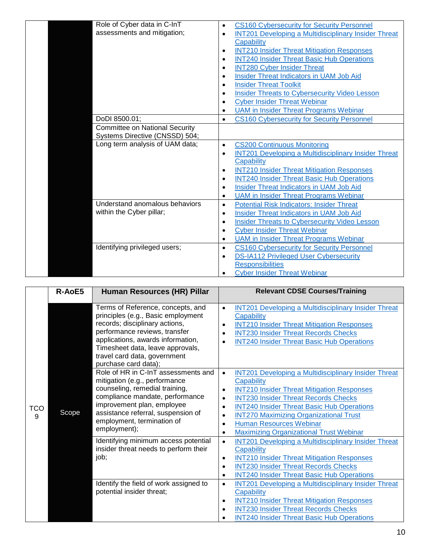| Role of Cyber data in C-InT<br>assessments and mitigation;              | <b>CS160 Cybersecurity for Security Personnel</b><br><b>INT201 Developing a Multidisciplinary Insider Threat</b><br>$\bullet$<br>Capability<br><b>INT210 Insider Threat Mitigation Responses</b><br>$\bullet$<br><b>INT240 Insider Threat Basic Hub Operations</b><br>$\bullet$<br><b>INT280 Cyber Insider Threat</b><br>$\bullet$<br><b>Insider Threat Indicators in UAM Job Aid</b><br>$\bullet$<br><b>Insider Threat Toolkit</b><br>$\bullet$<br><b>Insider Threats to Cybersecurity Video Lesson</b><br>$\bullet$<br><b>Cyber Insider Threat Webinar</b><br>٠<br><b>UAM</b> in Insider Threat Programs Webinar<br>$\bullet$ |
|-------------------------------------------------------------------------|---------------------------------------------------------------------------------------------------------------------------------------------------------------------------------------------------------------------------------------------------------------------------------------------------------------------------------------------------------------------------------------------------------------------------------------------------------------------------------------------------------------------------------------------------------------------------------------------------------------------------------|
| DoDI 8500.01;                                                           | <b>CS160 Cybersecurity for Security Personnel</b><br>$\bullet$                                                                                                                                                                                                                                                                                                                                                                                                                                                                                                                                                                  |
| <b>Committee on National Security</b><br>Systems Directive (CNSSD) 504; |                                                                                                                                                                                                                                                                                                                                                                                                                                                                                                                                                                                                                                 |
| Long term analysis of UAM data;                                         | <b>CS200 Continuous Monitoring</b><br>$\bullet$<br><b>INT201 Developing a Multidisciplinary Insider Threat</b><br>$\bullet$<br><b>Capability</b><br><b>INT210 Insider Threat Mitigation Responses</b><br>$\bullet$<br><b>INT240 Insider Threat Basic Hub Operations</b><br>$\bullet$<br>Insider Threat Indicators in UAM Job Aid<br>$\bullet$<br><b>UAM</b> in Insider Threat Programs Webinar<br>$\bullet$                                                                                                                                                                                                                     |
| Understand anomalous behaviors<br>within the Cyber pillar;              | <b>Potential Risk Indicators: Insider Threat</b><br>$\bullet$<br>Insider Threat Indicators in UAM Job Aid<br>$\bullet$<br><b>Insider Threats to Cybersecurity Video Lesson</b><br>$\bullet$<br><b>Cyber Insider Threat Webinar</b><br>$\bullet$<br><b>UAM</b> in Insider Threat Programs Webinar<br>$\bullet$                                                                                                                                                                                                                                                                                                                   |
| Identifying privileged users;                                           | <b>CS160 Cybersecurity for Security Personnel</b><br>$\bullet$<br><b>DS-IA112 Privileged User Cybersecurity</b><br>$\bullet$<br><b>Responsibilities</b><br><b>Cyber Insider Threat Webinar</b>                                                                                                                                                                                                                                                                                                                                                                                                                                  |

<span id="page-10-0"></span>

|          | R-AoE5 | Human Resources (HR) Pillar                                                                                                                                                                                                                                                                                                                         | <b>Relevant CDSE Courses/Training</b>                                                                                                                                                                                                                                                                                                                                            |
|----------|--------|-----------------------------------------------------------------------------------------------------------------------------------------------------------------------------------------------------------------------------------------------------------------------------------------------------------------------------------------------------|----------------------------------------------------------------------------------------------------------------------------------------------------------------------------------------------------------------------------------------------------------------------------------------------------------------------------------------------------------------------------------|
| TCO<br>9 |        | Terms of Reference, concepts, and<br>principles (e.g., Basic employment<br>records; disciplinary actions,<br>performance reviews, transfer<br>applications, awards information,<br>Timesheet data, leave approvals,<br>travel card data, government<br>purchase card data);<br>Role of HR in C-InT assessments and<br>mitigation (e.g., performance | <b>INT201 Developing a Multidisciplinary Insider Threat</b><br>$\bullet$<br>Capability<br><b>INT210 Insider Threat Mitigation Responses</b><br>$\bullet$<br><b>INT230 Insider Threat Records Checks</b><br>$\bullet$<br><b>INT240 Insider Threat Basic Hub Operations</b><br>$\bullet$<br><b>INT201 Developing a Multidisciplinary Insider Threat</b><br>$\bullet$<br>Capability |
|          | Scope  | counseling, remedial training,<br>compliance mandate, performance<br>improvement plan, employee<br>assistance referral, suspension of<br>employment, termination of<br>employment);                                                                                                                                                                 | <b>INT210 Insider Threat Mitigation Responses</b><br>$\bullet$<br><b>INT230 Insider Threat Records Checks</b><br>$\bullet$<br><b>INT240 Insider Threat Basic Hub Operations</b><br>$\bullet$<br><b>INT270 Maximizing Organizational Trust</b><br>$\bullet$<br><b>Human Resources Webinar</b><br>$\bullet$<br><b>Maximizing Organizational Trust Webinar</b><br>$\bullet$         |
|          |        | Identifying minimum access potential<br>insider threat needs to perform their<br>job;                                                                                                                                                                                                                                                               | <b>INT201 Developing a Multidisciplinary Insider Threat</b><br>$\bullet$<br>Capability<br><b>INT210 Insider Threat Mitigation Responses</b><br>$\bullet$<br><b>INT230 Insider Threat Records Checks</b><br>$\bullet$<br><b>INT240 Insider Threat Basic Hub Operations</b><br>$\bullet$                                                                                           |
|          |        | Identify the field of work assigned to<br>potential insider threat;                                                                                                                                                                                                                                                                                 | <b>INT201 Developing a Multidisciplinary Insider Threat</b><br>$\bullet$<br>Capability<br><b>INT210 Insider Threat Mitigation Responses</b><br>$\bullet$<br><b>INT230 Insider Threat Records Checks</b><br>$\bullet$<br><b>INT240 Insider Threat Basic Hub Operations</b><br>$\bullet$                                                                                           |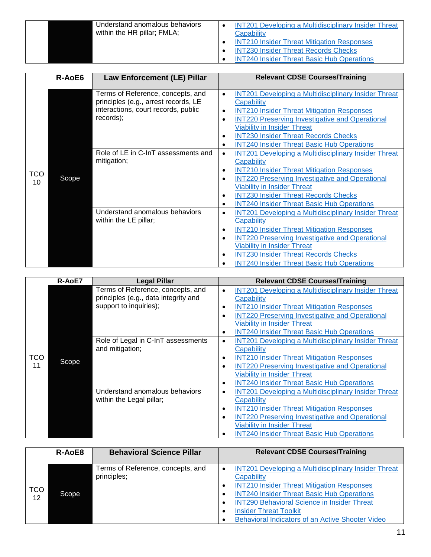| Understand anomalous behaviors<br>within the HR pillar; FMLA; | <b>INT201 Developing a Multidisciplinary Insider Threat</b><br>Capability<br><b>INT210 Insider Threat Mitigation Responses</b><br><b>INT230 Insider Threat Records Checks</b><br><b>INT240 Insider Threat Basic Hub Operations</b> |
|---------------------------------------------------------------|------------------------------------------------------------------------------------------------------------------------------------------------------------------------------------------------------------------------------------|
|---------------------------------------------------------------|------------------------------------------------------------------------------------------------------------------------------------------------------------------------------------------------------------------------------------|

<span id="page-11-0"></span>

|           | R-AoE6 | <b>Law Enforcement (LE) Pillar</b>                                                                                            | <b>Relevant CDSE Courses/Training</b>                                                                                                                                                                                                                                                                                                                                                               |
|-----------|--------|-------------------------------------------------------------------------------------------------------------------------------|-----------------------------------------------------------------------------------------------------------------------------------------------------------------------------------------------------------------------------------------------------------------------------------------------------------------------------------------------------------------------------------------------------|
|           |        | Terms of Reference, concepts, and<br>principles (e.g., arrest records, LE<br>interactions, court records, public<br>records); | <b>INT201 Developing a Multidisciplinary Insider Threat</b><br>$\bullet$<br>Capability<br><b>INT210 Insider Threat Mitigation Responses</b><br>$\bullet$<br><b>INT220 Preserving Investigative and Operational</b><br>$\bullet$<br><b>Viability in Insider Threat</b><br><b>INT230 Insider Threat Records Checks</b><br>$\bullet$<br><b>INT240 Insider Threat Basic Hub Operations</b><br>$\bullet$ |
| TCO<br>10 | Scope  | Role of LE in C-InT assessments and<br>mitigation;                                                                            | <b>INT201 Developing a Multidisciplinary Insider Threat</b><br>$\bullet$<br>Capability<br><b>INT210 Insider Threat Mitigation Responses</b><br>$\bullet$<br><b>INT220 Preserving Investigative and Operational</b><br>$\bullet$<br><b>Viability in Insider Threat</b><br><b>INT230 Insider Threat Records Checks</b><br>$\bullet$<br><b>INT240 Insider Threat Basic Hub Operations</b><br>$\bullet$ |
|           |        | Understand anomalous behaviors<br>within the LE pillar;                                                                       | <b>INT201 Developing a Multidisciplinary Insider Threat</b><br>٠<br>Capability<br><b>INT210 Insider Threat Mitigation Responses</b><br>$\bullet$<br><b>INT220 Preserving Investigative and Operational</b><br>$\bullet$<br><b>Viability in Insider Threat</b><br><b>INT230 Insider Threat Records Checks</b><br>٠<br><b>INT240 Insider Threat Basic Hub Operations</b><br>$\bullet$                 |

<span id="page-11-1"></span>

|           | R-AoE7 | <b>Legal Pillar</b>                                                                                 | <b>Relevant CDSE Courses/Training</b>                                                                                                                                                                                                                                                                                                   |
|-----------|--------|-----------------------------------------------------------------------------------------------------|-----------------------------------------------------------------------------------------------------------------------------------------------------------------------------------------------------------------------------------------------------------------------------------------------------------------------------------------|
|           |        | Terms of Reference, concepts, and<br>principles (e.g., data integrity and<br>support to inquiries); | <b>INT201 Developing a Multidisciplinary Insider Threat</b><br>$\bullet$<br>Capability<br><b>INT210 Insider Threat Mitigation Responses</b><br>$\bullet$<br><b>INT220 Preserving Investigative and Operational</b><br>$\bullet$<br><b>Viability in Insider Threat</b><br><b>INT240 Insider Threat Basic Hub Operations</b><br>$\bullet$ |
| TCO<br>11 | Scope  | Role of Legal in C-InT assessments<br>and mitigation;                                               | <b>INT201 Developing a Multidisciplinary Insider Threat</b><br>$\bullet$<br>Capability<br><b>INT210 Insider Threat Mitigation Responses</b><br>$\bullet$<br><b>INT220 Preserving Investigative and Operational</b><br>$\bullet$<br><b>Viability in Insider Threat</b><br><b>INT240 Insider Threat Basic Hub Operations</b><br>$\bullet$ |
|           |        | Understand anomalous behaviors<br>within the Legal pillar;                                          | <b>INT201 Developing a Multidisciplinary Insider Threat</b><br>$\bullet$<br>Capability<br><b>INT210 Insider Threat Mitigation Responses</b><br>$\bullet$<br><b>INT220 Preserving Investigative and Operational</b><br>$\bullet$<br><b>Viability in Insider Threat</b><br><b>INT240 Insider Threat Basic Hub Operations</b><br>٠         |

<span id="page-11-2"></span>

|            | R-AoE8 | <b>Behavioral Science Pillar</b>  | <b>Relevant CDSE Courses/Training</b>                                    |
|------------|--------|-----------------------------------|--------------------------------------------------------------------------|
|            |        |                                   |                                                                          |
|            |        | Terms of Reference, concepts, and | <b>INT201 Developing a Multidisciplinary Insider Threat</b><br>$\bullet$ |
|            |        | principles;                       | Capability                                                               |
| <b>TCO</b> |        |                                   | <b>INT210 Insider Threat Mitigation Responses</b>                        |
| 12         | Scope  |                                   | <b>INT240 Insider Threat Basic Hub Operations</b>                        |
|            |        |                                   | <b>INT290 Behavioral Science in Insider Threat</b>                       |
|            |        |                                   | <b>Insider Threat Toolkit</b><br>٠                                       |
|            |        |                                   | Behavioral Indicators of an Active Shooter Video                         |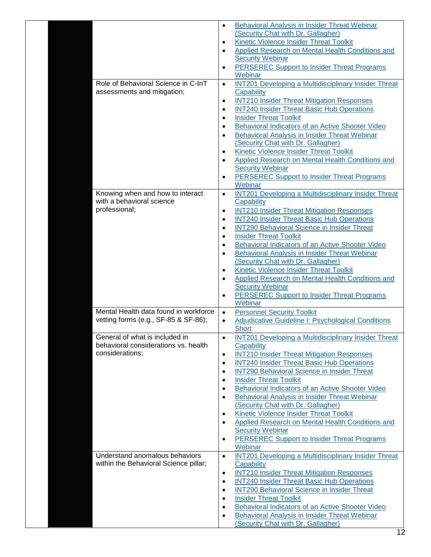|                                                                                           | <b>Behavioral Analysis in Insider Threat Webinar</b><br>$\bullet$<br>(Security Chat with Dr. Gallagher)<br>Kinetic Violence Insider Threat Toolkit<br>$\bullet$<br>Applied Research on Mental Health Conditions and<br>$\bullet$<br><b>Security Webinar</b><br><b>PERSEREC Support to Insider Threat Programs</b><br>$\bullet$                                                                                                                                                                                                                                                                                                                                                                                                    |
|-------------------------------------------------------------------------------------------|-----------------------------------------------------------------------------------------------------------------------------------------------------------------------------------------------------------------------------------------------------------------------------------------------------------------------------------------------------------------------------------------------------------------------------------------------------------------------------------------------------------------------------------------------------------------------------------------------------------------------------------------------------------------------------------------------------------------------------------|
| Role of Behavioral Science in C-InT<br>assessments and mitigation;                        | Webinar<br><b>INT201 Developing a Multidisciplinary Insider Threat</b><br>$\bullet$<br>Capability<br><b>INT210 Insider Threat Mitigation Responses</b><br>$\bullet$<br><b>INT240 Insider Threat Basic Hub Operations</b><br>$\bullet$<br><b>Insider Threat Toolkit</b><br>$\bullet$<br>Behavioral Indicators of an Active Shooter Video<br>$\bullet$<br><b>Behavioral Analysis in Insider Threat Webinar</b><br>٠<br>(Security Chat with Dr. Gallagher)<br>Kinetic Violence Insider Threat Toolkit<br>$\bullet$<br><b>Applied Research on Mental Health Conditions and</b><br>$\bullet$<br><b>Security Webinar</b><br><b>PERSEREC Support to Insider Threat Programs</b><br>$\bullet$<br>Webinar                                  |
| Knowing when and how to interact<br>with a behavioral science<br>professional;            | <b>INT201 Developing a Multidisciplinary Insider Threat</b><br>$\bullet$<br>Capability<br><b>INT210 Insider Threat Mitigation Responses</b><br>$\bullet$<br><b>INT240 Insider Threat Basic Hub Operations</b><br>$\bullet$<br><b>INT290 Behavioral Science in Insider Threat</b><br>$\bullet$<br><b>Insider Threat Toolkit</b><br>٠<br>Behavioral Indicators of an Active Shooter Video<br>٠<br><b>Behavioral Analysis in Insider Threat Webinar</b><br>٠<br>(Security Chat with Dr. Gallagher)<br><b>Kinetic Violence Insider Threat Toolkit</b><br>٠<br><b>Applied Research on Mental Health Conditions and</b><br>٠<br><b>Security Webinar</b><br><b>PERSEREC Support to Insider Threat Programs</b><br>$\bullet$<br>Webinar   |
| Mental Health data found in workforce<br>vetting forms (e.g., SF-85 & SF-86);             | <b>Personnel Security Toolkit</b><br>$\bullet$<br><b>Adjudicative Guideline I: Psychological Conditions</b><br>$\bullet$<br><b>Short</b>                                                                                                                                                                                                                                                                                                                                                                                                                                                                                                                                                                                          |
| General of what is included in<br>behavioral considerations vs. health<br>considerations; | <b>INT201 Developing a Multidisciplinary Insider Threat</b><br>$\bullet$<br>Capability<br><b>INT210 Insider Threat Mitigation Responses</b><br>$\bullet$<br><b>INT240 Insider Threat Basic Hub Operations</b><br>$\bullet$<br><b>INT290 Behavioral Science in Insider Threat</b><br>٠<br><b>Insider Threat Toolkit</b><br>٠<br>Behavioral Indicators of an Active Shooter Video<br>$\bullet$<br>Behavioral Analysis in Insider Threat Webinar<br>$\bullet$<br>(Security Chat with Dr. Gallagher)<br>Kinetic Violence Insider Threat Toolkit<br>$\bullet$<br><b>Applied Research on Mental Health Conditions and</b><br>$\bullet$<br><b>Security Webinar</b><br><b>PERSEREC Support to Insider Threat Programs</b><br>٠<br>Webinar |
| Understand anomalous behaviors<br>within the Behavioral Science pillar;                   | <b>INT201 Developing a Multidisciplinary Insider Threat</b><br>$\bullet$<br>Capability<br><b>INT210 Insider Threat Mitigation Responses</b><br>$\bullet$<br><b>INT240 Insider Threat Basic Hub Operations</b><br>$\bullet$<br><b>INT290 Behavioral Science in Insider Threat</b><br>٠<br><b>Insider Threat Toolkit</b><br>$\bullet$<br>Behavioral Indicators of an Active Shooter Video<br>$\bullet$<br><b>Behavioral Analysis in Insider Threat Webinar</b><br>$\bullet$<br>(Security Chat with Dr. Gallagher)                                                                                                                                                                                                                   |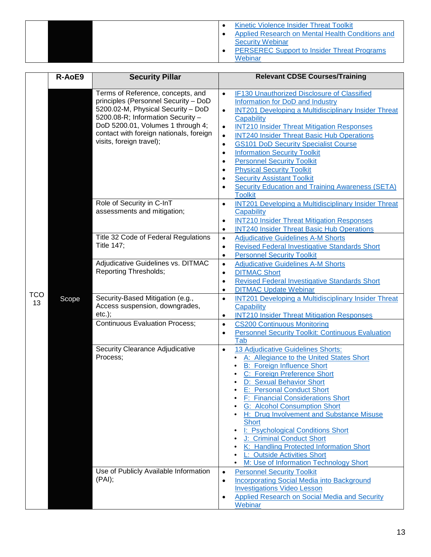|  | Kinetic Violence Insider Threat Toolkit<br>Applied Research on Mental Health Conditions and<br><b>Security Webinar</b><br><b>PERSEREC Support to Insider Threat Programs</b> |
|--|------------------------------------------------------------------------------------------------------------------------------------------------------------------------------|
|  | Webinar                                                                                                                                                                      |

<span id="page-13-0"></span>

|                  | R-AoE9 | <b>Security Pillar</b>                                                                                                                                                                                                                                           | <b>Relevant CDSE Courses/Training</b>                                                                                                                                                                                                                                                                                                                                                                                                                                                                                                                                                                                                                                        |
|------------------|--------|------------------------------------------------------------------------------------------------------------------------------------------------------------------------------------------------------------------------------------------------------------------|------------------------------------------------------------------------------------------------------------------------------------------------------------------------------------------------------------------------------------------------------------------------------------------------------------------------------------------------------------------------------------------------------------------------------------------------------------------------------------------------------------------------------------------------------------------------------------------------------------------------------------------------------------------------------|
|                  |        | Terms of Reference, concepts, and<br>principles (Personnel Security - DoD<br>5200.02-M, Physical Security - DoD<br>5200.08-R; Information Security -<br>DoD 5200.01, Volumes 1 through 4;<br>contact with foreign nationals, foreign<br>visits, foreign travel); | IF130 Unauthorized Disclosure of Classified<br>$\bullet$<br>Information for DoD and Industry<br><b>INT201 Developing a Multidisciplinary Insider Threat</b><br>$\bullet$<br>Capability<br><b>INT210 Insider Threat Mitigation Responses</b><br>$\bullet$<br><b>INT240 Insider Threat Basic Hub Operations</b><br>$\bullet$<br><b>GS101 DoD Security Specialist Course</b><br>$\bullet$<br><b>Information Security Toolkit</b><br>$\bullet$<br><b>Personnel Security Toolkit</b><br>$\bullet$<br><b>Physical Security Toolkit</b><br>$\bullet$<br><b>Security Assistant Toolkit</b><br>$\bullet$<br><b>Security Education and Training Awareness (SETA)</b><br><b>Toolkit</b> |
|                  |        | Role of Security in C-InT<br>assessments and mitigation;                                                                                                                                                                                                         | <b>INT201 Developing a Multidisciplinary Insider Threat</b><br>$\bullet$<br>Capability<br><b>INT210 Insider Threat Mitigation Responses</b><br>$\bullet$<br><b>INT240 Insider Threat Basic Hub Operations</b><br>$\bullet$                                                                                                                                                                                                                                                                                                                                                                                                                                                   |
|                  |        | Title 32 Code of Federal Regulations<br><b>Title 147;</b>                                                                                                                                                                                                        | <b>Adjudicative Guidelines A-M Shorts</b><br>$\bullet$<br><b>Revised Federal Investigative Standards Short</b><br>$\bullet$<br><b>Personnel Security Toolkit</b><br>$\bullet$                                                                                                                                                                                                                                                                                                                                                                                                                                                                                                |
|                  |        | Adjudicative Guidelines vs. DITMAC<br><b>Reporting Thresholds;</b>                                                                                                                                                                                               | <b>Adjudicative Guidelines A-M Shorts</b><br>$\bullet$<br><b>DITMAC Short</b><br>$\bullet$<br><b>Revised Federal Investigative Standards Short</b><br>$\bullet$<br><b>DITMAC Update Webinar</b><br>$\bullet$                                                                                                                                                                                                                                                                                                                                                                                                                                                                 |
| <b>TCO</b><br>13 | Scope  | Security-Based Mitigation (e.g.,<br>Access suspension, downgrades,<br>$etc.$ );                                                                                                                                                                                  | <b>INT201 Developing a Multidisciplinary Insider Threat</b><br>$\bullet$<br>Capability<br><b>INT210 Insider Threat Mitigation Responses</b><br>$\bullet$                                                                                                                                                                                                                                                                                                                                                                                                                                                                                                                     |
|                  |        | <b>Continuous Evaluation Process;</b>                                                                                                                                                                                                                            | <b>CS200 Continuous Monitoring</b><br>$\bullet$<br><b>Personnel Security Toolkit: Continuous Evaluation</b><br>$\bullet$<br>Tab                                                                                                                                                                                                                                                                                                                                                                                                                                                                                                                                              |
|                  |        | Security Clearance Adjudicative<br>Process;                                                                                                                                                                                                                      | 13 Adjudicative Guidelines Shorts:<br>$\bullet$<br>A: Allegiance to the United States Short<br><b>B: Foreign Influence Short</b><br>C: Foreign Preference Short<br>D: Sexual Behavior Short<br>$\bullet$<br><b>E: Personal Conduct Short</b><br>F: Financial Considerations Short<br><b>G: Alcohol Consumption Short</b><br>٠<br>H: Drug Involvement and Substance Misuse<br>٠<br><b>Short</b><br>I: Psychological Conditions Short<br>٠<br>J: Criminal Conduct Short<br>K: Handling Protected Information Short<br>L: Outside Activities Short<br>M: Use of Information Technology Short                                                                                    |
|                  |        | Use of Publicly Available Information<br>(PAI);                                                                                                                                                                                                                  | <b>Personnel Security Toolkit</b><br>$\bullet$<br><b>Incorporating Social Media into Background</b><br>$\bullet$<br><b>Investigations Video Lesson</b><br>Applied Research on Social Media and Security<br>Webinar                                                                                                                                                                                                                                                                                                                                                                                                                                                           |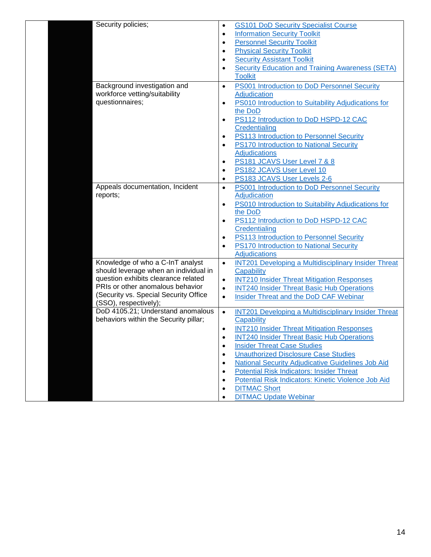| <b>GS101 DoD Security Specialist Course</b><br>٠                                                              |
|---------------------------------------------------------------------------------------------------------------|
| <b>Information Security Toolkit</b><br>$\bullet$                                                              |
| <b>Personnel Security Toolkit</b><br>$\bullet$                                                                |
| <b>Physical Security Toolkit</b><br>٠                                                                         |
| <b>Security Assistant Toolkit</b><br>$\bullet$                                                                |
| <b>Security Education and Training Awareness (SETA)</b><br>$\bullet$                                          |
| <b>Toolkit</b>                                                                                                |
| PS001 Introduction to DoD Personnel Security<br>$\bullet$                                                     |
| Adjudication                                                                                                  |
| PS010 Introduction to Suitability Adjudications for<br>$\bullet$                                              |
| the DoD                                                                                                       |
|                                                                                                               |
| PS112 Introduction to DoD HSPD-12 CAC<br>$\bullet$<br>Credentialing                                           |
| PS113 Introduction to Personnel Security                                                                      |
| $\bullet$                                                                                                     |
| PS170 Introduction to National Security<br>$\bullet$                                                          |
| <b>Adjudications</b>                                                                                          |
| PS181 JCAVS User Level 7 & 8<br>$\bullet$                                                                     |
| PS182 JCAVS User Level 10<br>$\bullet$                                                                        |
| PS183 JCAVS User Levels 2-6<br>$\bullet$                                                                      |
| PS001 Introduction to DoD Personnel Security<br>$\bullet$                                                     |
| Adjudication                                                                                                  |
| PS010 Introduction to Suitability Adjudications for<br>$\bullet$                                              |
| the DoD                                                                                                       |
| PS112 Introduction to DoD HSPD-12 CAC<br>$\bullet$                                                            |
| Credentialing                                                                                                 |
| PS113 Introduction to Personnel Security<br>$\bullet$                                                         |
| PS170 Introduction to National Security<br>$\bullet$                                                          |
| <b>Adjudications</b>                                                                                          |
| <b>INT201 Developing a Multidisciplinary Insider Threat</b><br>$\bullet$                                      |
| Capability                                                                                                    |
| <b>INT210 Insider Threat Mitigation Responses</b><br>$\bullet$                                                |
| <b>INT240 Insider Threat Basic Hub Operations</b><br>$\bullet$                                                |
| Insider Threat and the DoD CAF Webinar<br>$\bullet$                                                           |
|                                                                                                               |
| DoD 4105.21; Understand anomalous<br><b>INT201 Developing a Multidisciplinary Insider Threat</b><br>$\bullet$ |
| Capability                                                                                                    |
| <b>INT210 Insider Threat Mitigation Responses</b><br>$\bullet$                                                |
| <b>INT240 Insider Threat Basic Hub Operations</b>                                                             |
| <b>Insider Threat Case Studies</b><br>$\bullet$                                                               |
| <b>Unauthorized Disclosure Case Studies</b><br>$\bullet$                                                      |
| National Security Adjudicative Guidelines Job Aid<br>$\bullet$                                                |
| <b>Potential Risk Indicators: Insider Threat</b><br>$\bullet$                                                 |
|                                                                                                               |
| Potential Risk Indicators: Kinetic Violence Job Aid<br>$\bullet$                                              |
| <b>DITMAC Short</b><br>$\bullet$                                                                              |
|                                                                                                               |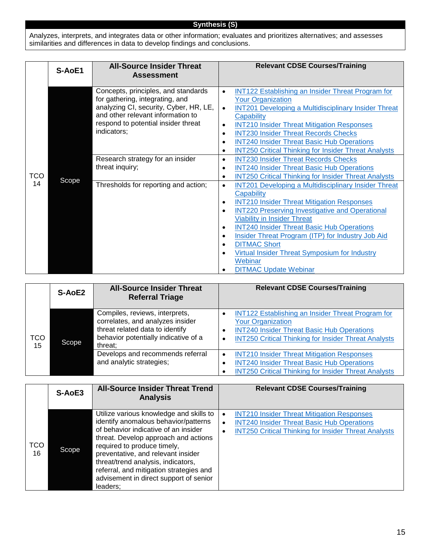#### **Synthesis (S)**

Analyzes, interprets, and integrates data or other information; evaluates and prioritizes alternatives; and assesses similarities and differences in data to develop findings and conclusions.

<span id="page-15-1"></span><span id="page-15-0"></span>

|           | S-AoE1 | <b>All-Source Insider Threat</b><br><b>Assessment</b>                                                                                                                                                       | <b>Relevant CDSE Courses/Training</b>                                                                                                                                                                                                                                                                                                                                                                                                                                                                                                          |
|-----------|--------|-------------------------------------------------------------------------------------------------------------------------------------------------------------------------------------------------------------|------------------------------------------------------------------------------------------------------------------------------------------------------------------------------------------------------------------------------------------------------------------------------------------------------------------------------------------------------------------------------------------------------------------------------------------------------------------------------------------------------------------------------------------------|
| TCO<br>14 |        | Concepts, principles, and standards<br>for gathering, integrating, and<br>analyzing CI, security, Cyber, HR, LE,<br>and other relevant information to<br>respond to potential insider threat<br>indicators; | <b>INT122 Establishing an Insider Threat Program for</b><br>$\bullet$<br><b>Your Organization</b><br><b>INT201 Developing a Multidisciplinary Insider Threat</b><br>$\bullet$<br>Capability<br><b>INT210 Insider Threat Mitigation Responses</b><br>$\bullet$<br><b>INT230 Insider Threat Records Checks</b><br>$\bullet$<br><b>INT240 Insider Threat Basic Hub Operations</b><br>$\bullet$<br><b>INT250 Critical Thinking for Insider Threat Analysts</b><br>$\bullet$                                                                        |
|           | Scope  | Research strategy for an insider<br>threat inquiry;                                                                                                                                                         | <b>INT230 Insider Threat Records Checks</b><br>$\bullet$<br><b>INT240 Insider Threat Basic Hub Operations</b><br>$\bullet$<br><b>INT250 Critical Thinking for Insider Threat Analysts</b><br>$\bullet$                                                                                                                                                                                                                                                                                                                                         |
|           |        | Thresholds for reporting and action;                                                                                                                                                                        | <b>INT201 Developing a Multidisciplinary Insider Threat</b><br>$\bullet$<br>Capability<br><b>INT210 Insider Threat Mitigation Responses</b><br>$\bullet$<br><b>INT220 Preserving Investigative and Operational</b><br>$\bullet$<br><b>Viability in Insider Threat</b><br><b>INT240 Insider Threat Basic Hub Operations</b><br>$\bullet$<br>Insider Threat Program (ITP) for Industry Job Aid<br>$\bullet$<br><b>DITMAC Short</b><br>٠<br>Virtual Insider Threat Symposium for Industry<br>$\bullet$<br>Webinar<br><b>DITMAC Update Webinar</b> |

<span id="page-15-2"></span>

|                  | S-AoE2 | <b>All-Source Insider Threat</b><br><b>Referral Triage</b>                                                                                               | <b>Relevant CDSE Courses/Training</b>                                                                                                                                                                    |
|------------------|--------|----------------------------------------------------------------------------------------------------------------------------------------------------------|----------------------------------------------------------------------------------------------------------------------------------------------------------------------------------------------------------|
| <b>TCO</b><br>15 | Scope  | Compiles, reviews, interprets,<br>correlates, and analyzes insider<br>threat related data to identify<br>behavior potentially indicative of a<br>threat; | <b>INT122 Establishing an Insider Threat Program for</b><br><b>Your Organization</b><br><b>INT240 Insider Threat Basic Hub Operations</b><br><b>INT250 Critical Thinking for Insider Threat Analysts</b> |
|                  |        | Develops and recommends referral<br>and analytic strategies;                                                                                             | <b>INT210 Insider Threat Mitigation Responses</b><br>$\bullet$<br><b>INT240 Insider Threat Basic Hub Operations</b><br><b>INT250 Critical Thinking for Insider Threat Analysts</b>                       |

<span id="page-15-3"></span>

|                  | S-AoE3 | <b>All-Source Insider Threat Trend</b><br><b>Analysis</b>                                                                                                                                                                                                                                                                                                                   | <b>Relevant CDSE Courses/Training</b>                                                                                                                                                                        |
|------------------|--------|-----------------------------------------------------------------------------------------------------------------------------------------------------------------------------------------------------------------------------------------------------------------------------------------------------------------------------------------------------------------------------|--------------------------------------------------------------------------------------------------------------------------------------------------------------------------------------------------------------|
| <b>TCO</b><br>16 | Scope  | Utilize various knowledge and skills to<br>identify anomalous behavior/patterns<br>of behavior indicative of an insider<br>threat. Develop approach and actions<br>required to produce timely,<br>preventative, and relevant insider<br>threat/trend analysis, indicators,<br>referral, and mitigation strategies and<br>advisement in direct support of senior<br>leaders; | <b>INT210 Insider Threat Mitigation Responses</b><br>$\bullet$<br><b>INT240 Insider Threat Basic Hub Operations</b><br>$\bullet$<br><b>INT250 Critical Thinking for Insider Threat Analysts</b><br>$\bullet$ |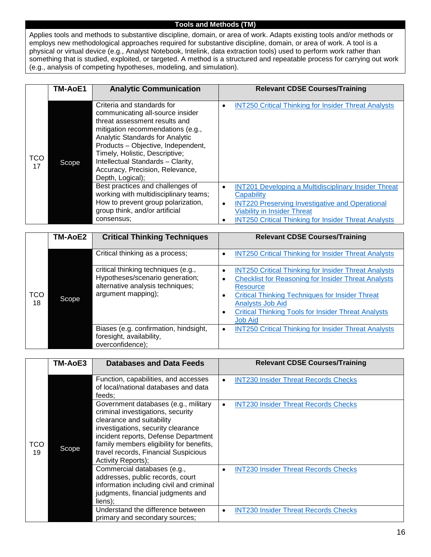#### **Tools and Methods (TM)**

Applies tools and methods to substantive discipline, domain, or area of work. Adapts existing tools and/or methods or employs new methodological approaches required for substantive discipline, domain, or area of work. A tool is a physical or virtual device (e.g., Analyst Notebook, Intelink, data extraction tools) used to perform work rather than something that is studied, exploited, or targeted. A method is a structured and repeatable process for carrying out work (e.g., analysis of competing hypotheses, modeling, and simulation).

<span id="page-16-1"></span><span id="page-16-0"></span>

|                  | TM-AoE1 | <b>Analytic Communication</b>                                                                                                                                                                                                                                                                                                               | <b>Relevant CDSE Courses/Training</b>                                                                                                                                                                                                                                   |
|------------------|---------|---------------------------------------------------------------------------------------------------------------------------------------------------------------------------------------------------------------------------------------------------------------------------------------------------------------------------------------------|-------------------------------------------------------------------------------------------------------------------------------------------------------------------------------------------------------------------------------------------------------------------------|
| <b>TCO</b><br>17 | Scope   | Criteria and standards for<br>communicating all-source insider<br>threat assessment results and<br>mitigation recommendations (e.g.,<br>Analytic Standards for Analytic<br>Products - Objective, Independent,<br>Timely, Holistic, Descriptive;<br>Intellectual Standards - Clarity,<br>Accuracy, Precision, Relevance,<br>Depth, Logical); | <b>INT250 Critical Thinking for Insider Threat Analysts</b><br>$\bullet$                                                                                                                                                                                                |
|                  |         | Best practices and challenges of<br>working with multidisciplinary teams;<br>How to prevent group polarization,<br>group think, and/or artificial<br>consensus:                                                                                                                                                                             | <b>INT201 Developing a Multidisciplinary Insider Threat</b><br>$\bullet$<br>Capability<br><b>INT220 Preserving Investigative and Operational</b><br>$\bullet$<br><b>Viability in Insider Threat</b><br><b>INT250 Critical Thinking for Insider Threat Analysts</b><br>٠ |

<span id="page-16-2"></span>

|                  | TM-AoE2 | <b>Critical Thinking Techniques</b>                                                                                              | <b>Relevant CDSE Courses/Training</b>                                                                                                                                                                                                                                                                                          |
|------------------|---------|----------------------------------------------------------------------------------------------------------------------------------|--------------------------------------------------------------------------------------------------------------------------------------------------------------------------------------------------------------------------------------------------------------------------------------------------------------------------------|
| <b>TCO</b><br>18 |         | Critical thinking as a process;                                                                                                  | <b>INT250 Critical Thinking for Insider Threat Analysts</b><br>C                                                                                                                                                                                                                                                               |
|                  | Scope   | critical thinking techniques (e.g.,<br>Hypotheses/scenario generation;<br>alternative analysis techniques;<br>argument mapping); | <b>INT250 Critical Thinking for Insider Threat Analysts</b><br>٠<br><b>Checklist for Reasoning for Insider Threat Analysts</b><br>٠<br><b>Resource</b><br><b>Critical Thinking Techniques for Insider Threat</b><br>C<br>Analysts Job Aid<br><b>Critical Thinking Tools for Insider Threat Analysts</b><br>٠<br><b>Job Aid</b> |
|                  |         | Biases (e.g. confirmation, hindsight,<br>foresight, availability,<br>overconfidence);                                            | <b>INT250 Critical Thinking for Insider Threat Analysts</b><br>$\bullet$                                                                                                                                                                                                                                                       |

<span id="page-16-3"></span>

|           | TM-AoE3 | <b>Databases and Data Feeds</b>                                                                                                                                                                                                                                                                | <b>Relevant CDSE Courses/Training</b>                    |
|-----------|---------|------------------------------------------------------------------------------------------------------------------------------------------------------------------------------------------------------------------------------------------------------------------------------------------------|----------------------------------------------------------|
| тсо<br>19 |         | Function, capabilities, and accesses<br>of local/national databases and data<br>feeds:                                                                                                                                                                                                         | <b>INT230 Insider Threat Records Checks</b><br>$\bullet$ |
|           | Scope   | Government databases (e.g., military<br>criminal investigations, security<br>clearance and suitability<br>investigations, security clearance<br>incident reports, Defense Department<br>family members eligibility for benefits,<br>travel records, Financial Suspicious<br>Activity Reports); | <b>INT230 Insider Threat Records Checks</b>              |
|           |         | Commercial databases (e.g.,<br>addresses, public records, court<br>information including civil and criminal<br>judgments, financial judgments and<br>liens);                                                                                                                                   | <b>INT230 Insider Threat Records Checks</b>              |
|           |         | Understand the difference between<br>primary and secondary sources;                                                                                                                                                                                                                            | <b>INT230 Insider Threat Records Checks</b><br>$\bullet$ |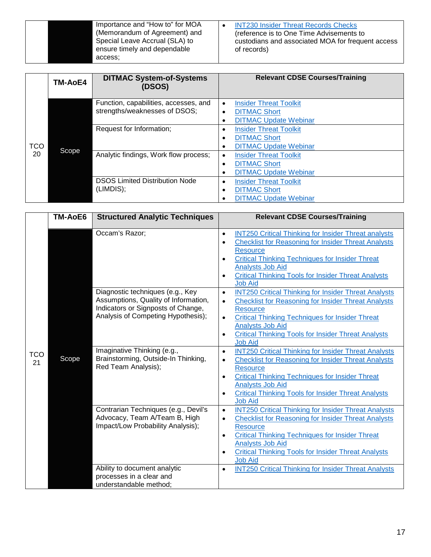| ensure timely and dependable | Importance and "How to" for MOA | <b>INT230 Insider Threat Records Checks</b>       |
|------------------------------|---------------------------------|---------------------------------------------------|
| of records)                  | (Memorandum of Agreement) and   | (reference is to One Time Advisements to          |
| access:                      | Special Leave Accrual (SLA) to  | custodians and associated MOA for frequent access |

<span id="page-17-0"></span>

|                  | <b>TM-AoE4</b> | <b>DITMAC System-of-Systems</b><br>(DSOS)                              | <b>Relevant CDSE Courses/Training</b>                                                                                       |
|------------------|----------------|------------------------------------------------------------------------|-----------------------------------------------------------------------------------------------------------------------------|
|                  |                | Function, capabilities, accesses, and<br>strengths/weaknesses of DSOS; | <b>Insider Threat Toolkit</b><br>$\bullet$<br><b>DITMAC Short</b><br>$\bullet$<br><b>DITMAC Update Webinar</b><br>$\bullet$ |
| <b>TCO</b><br>20 | Scope          | Request for Information;                                               | <b>Insider Threat Toolkit</b><br>$\bullet$<br><b>DITMAC Short</b><br>٠<br><b>DITMAC Update Webinar</b><br>$\bullet$         |
|                  |                | Analytic findings, Work flow process;                                  | <b>Insider Threat Toolkit</b><br>$\bullet$<br><b>DITMAC Short</b><br>٠<br><b>DITMAC Update Webinar</b><br>٠                 |
|                  |                | <b>DSOS Limited Distribution Node</b><br>(LIMDIS);                     | <b>Insider Threat Toolkit</b><br>$\bullet$<br><b>DITMAC Short</b><br>٠<br><b>DITMAC Update Webinar</b>                      |

<span id="page-17-1"></span>

|                  | <b>TM-AoE6</b> | <b>Structured Analytic Techniques</b>                                                                                                                | <b>Relevant CDSE Courses/Training</b>                                                                                                                                                                                                                                                                                                                                 |
|------------------|----------------|------------------------------------------------------------------------------------------------------------------------------------------------------|-----------------------------------------------------------------------------------------------------------------------------------------------------------------------------------------------------------------------------------------------------------------------------------------------------------------------------------------------------------------------|
|                  |                | Occam's Razor;                                                                                                                                       | <b>INT250 Critical Thinking for Insider Threat analysts</b><br>$\bullet$<br><b>Checklist for Reasoning for Insider Threat Analysts</b><br>$\bullet$<br><b>Resource</b><br><b>Critical Thinking Techniques for Insider Threat</b><br>$\bullet$<br><b>Analysts Job Aid</b><br><b>Critical Thinking Tools for Insider Threat Analysts</b><br>$\bullet$<br><b>Job Aid</b> |
|                  |                | Diagnostic techniques (e.g., Key<br>Assumptions, Quality of Information,<br>Indicators or Signposts of Change,<br>Analysis of Competing Hypothesis); | <b>INT250 Critical Thinking for Insider Threat Analysts</b><br>$\bullet$<br><b>Checklist for Reasoning for Insider Threat Analysts</b><br>$\bullet$<br><b>Resource</b><br><b>Critical Thinking Techniques for Insider Threat</b><br>$\bullet$<br><b>Analysts Job Aid</b><br><b>Critical Thinking Tools for Insider Threat Analysts</b><br>$\bullet$<br><b>Job Aid</b> |
| <b>TCO</b><br>21 | Scope          | Imaginative Thinking (e.g.,<br>Brainstorming, Outside-In Thinking,<br>Red Team Analysis);                                                            | <b>INT250 Critical Thinking for Insider Threat Analysts</b><br>$\bullet$<br><b>Checklist for Reasoning for Insider Threat Analysts</b><br>$\bullet$<br><b>Resource</b><br><b>Critical Thinking Techniques for Insider Threat</b><br>$\bullet$<br><b>Analysts Job Aid</b><br><b>Critical Thinking Tools for Insider Threat Analysts</b><br>$\bullet$<br><b>Job Aid</b> |
|                  |                | Contrarian Techniques (e.g., Devil's<br>Advocacy, Team A/Team B, High<br>Impact/Low Probability Analysis);                                           | <b>INT250 Critical Thinking for Insider Threat Analysts</b><br>$\bullet$<br><b>Checklist for Reasoning for Insider Threat Analysts</b><br>$\bullet$<br><b>Resource</b><br><b>Critical Thinking Techniques for Insider Threat</b><br>$\bullet$<br><b>Analysts Job Aid</b><br><b>Critical Thinking Tools for Insider Threat Analysts</b><br>$\bullet$<br><b>Job Aid</b> |
|                  |                | Ability to document analytic<br>processes in a clear and<br>understandable method;                                                                   | <b>INT250 Critical Thinking for Insider Threat Analysts</b><br>$\bullet$                                                                                                                                                                                                                                                                                              |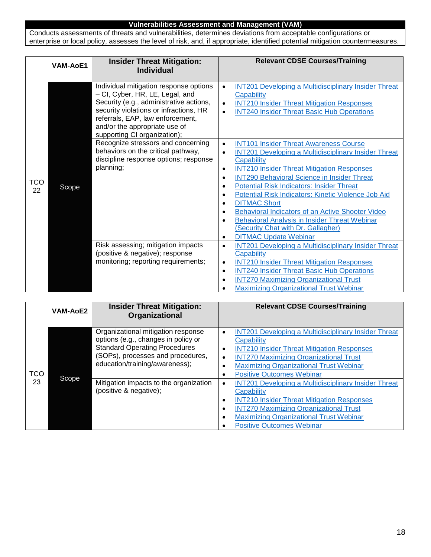#### **Vulnerabilities Assessment and Management (VAM)**

Conducts assessments of threats and vulnerabilities, determines deviations from acceptable configurations or enterprise or local policy, assesses the level of risk, and, if appropriate, identified potential mitigation countermeasures.

<span id="page-18-1"></span><span id="page-18-0"></span>

|           | <b>VAM-AoE1</b> | <b>Insider Threat Mitigation:</b><br><b>Individual</b>                                                                                                                                                                                                              | <b>Relevant CDSE Courses/Training</b>                                                                                                                                                                                                                                                                                                                                                                                                                                                                                                                                                                                                           |
|-----------|-----------------|---------------------------------------------------------------------------------------------------------------------------------------------------------------------------------------------------------------------------------------------------------------------|-------------------------------------------------------------------------------------------------------------------------------------------------------------------------------------------------------------------------------------------------------------------------------------------------------------------------------------------------------------------------------------------------------------------------------------------------------------------------------------------------------------------------------------------------------------------------------------------------------------------------------------------------|
| TCO<br>22 |                 | Individual mitigation response options<br>- CI, Cyber, HR, LE, Legal, and<br>Security (e.g., administrative actions,<br>security violations or infractions, HR<br>referrals, EAP, law enforcement,<br>and/or the appropriate use of<br>supporting CI organization); | <b>INT201 Developing a Multidisciplinary Insider Threat</b><br>$\bullet$<br>Capability<br><b>INT210 Insider Threat Mitigation Responses</b><br>$\bullet$<br><b>INT240 Insider Threat Basic Hub Operations</b>                                                                                                                                                                                                                                                                                                                                                                                                                                   |
|           | Scope           | Recognize stressors and concerning<br>behaviors on the critical pathway,<br>discipline response options; response<br>planning;                                                                                                                                      | <b>INT101 Insider Threat Awareness Course</b><br>$\bullet$<br><b>INT201 Developing a Multidisciplinary Insider Threat</b><br>$\bullet$<br>Capability<br><b>INT210 Insider Threat Mitigation Responses</b><br>$\bullet$<br><b>INT290 Behavioral Science in Insider Threat</b><br>$\bullet$<br><b>Potential Risk Indicators: Insider Threat</b><br>٠<br>Potential Risk Indicators: Kinetic Violence Job Aid<br>$\bullet$<br><b>DITMAC Short</b><br>٠<br>Behavioral Indicators of an Active Shooter Video<br>$\bullet$<br>Behavioral Analysis in Insider Threat Webinar<br>(Security Chat with Dr. Gallagher)<br><b>DITMAC Update Webinar</b><br>٠ |
|           |                 | Risk assessing; mitigation impacts<br>(positive & negative); response<br>monitoring; reporting requirements;                                                                                                                                                        | <b>INT201 Developing a Multidisciplinary Insider Threat</b><br>$\bullet$<br><b>Capability</b><br><b>INT210 Insider Threat Mitigation Responses</b><br>$\bullet$<br><b>INT240 Insider Threat Basic Hub Operations</b><br>$\bullet$<br><b>INT270 Maximizing Organizational Trust</b><br>$\bullet$<br><b>Maximizing Organizational Trust Webinar</b><br>٠                                                                                                                                                                                                                                                                                          |

<span id="page-18-3"></span><span id="page-18-2"></span>

|                  | <b>VAM-AoE2</b> | <b>Insider Threat Mitigation:</b><br>Organizational                                                                                                                                      | <b>Relevant CDSE Courses/Training</b>                                                                                                                                                                                                                                                                                          |
|------------------|-----------------|------------------------------------------------------------------------------------------------------------------------------------------------------------------------------------------|--------------------------------------------------------------------------------------------------------------------------------------------------------------------------------------------------------------------------------------------------------------------------------------------------------------------------------|
| <b>TCO</b><br>23 | Scope           | Organizational mitigation response<br>options (e.g., changes in policy or<br><b>Standard Operating Procedures</b><br>(SOPs), processes and procedures,<br>education/training/awareness); | <b>INT201 Developing a Multidisciplinary Insider Threat</b><br>$\bullet$<br>Capability<br><b>INT210 Insider Threat Mitigation Responses</b><br>$\bullet$<br><b>INT270 Maximizing Organizational Trust</b><br>$\bullet$<br><b>Maximizing Organizational Trust Webinar</b><br>$\bullet$<br><b>Positive Outcomes Webinar</b><br>٠ |
|                  |                 | Mitigation impacts to the organization<br>(positive & negative);                                                                                                                         | <b>INT201 Developing a Multidisciplinary Insider Threat</b><br>$\bullet$<br>Capability<br><b>INT210 Insider Threat Mitigation Responses</b><br>$\bullet$<br><b>INT270 Maximizing Organizational Trust</b><br>$\bullet$<br><b>Maximizing Organizational Trust Webinar</b><br>$\bullet$<br><b>Positive Outcomes Webinar</b>      |